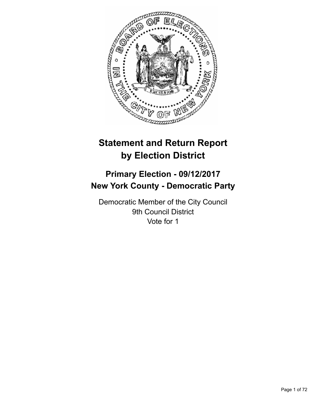

# **Statement and Return Report by Election District**

## **Primary Election - 09/12/2017 New York County - Democratic Party**

Democratic Member of the City Council 9th Council District Vote for 1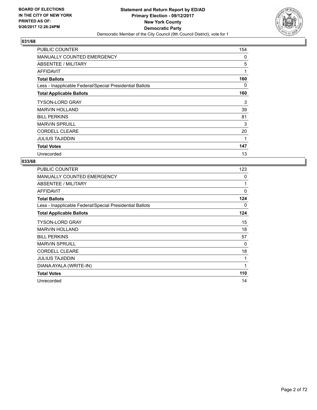

| PUBLIC COUNTER                                           | 154 |
|----------------------------------------------------------|-----|
| <b>MANUALLY COUNTED EMERGENCY</b>                        | 0   |
| ABSENTEE / MILITARY                                      | 5   |
| <b>AFFIDAVIT</b>                                         | 1   |
| <b>Total Ballots</b>                                     | 160 |
| Less - Inapplicable Federal/Special Presidential Ballots | 0   |
| <b>Total Applicable Ballots</b>                          | 160 |
| <b>TYSON-LORD GRAY</b>                                   | 3   |
| <b>MARVIN HOLLAND</b>                                    | 39  |
| <b>BILL PERKINS</b>                                      | 81  |
| <b>MARVIN SPRUILL</b>                                    | 3   |
| <b>CORDELL CLEARE</b>                                    | 20  |
| <b>JULIUS TAJIDDIN</b>                                   | 1   |
| <b>Total Votes</b>                                       | 147 |
| Unrecorded                                               | 13  |

| <b>PUBLIC COUNTER</b>                                    | 123 |
|----------------------------------------------------------|-----|
| <b>MANUALLY COUNTED EMERGENCY</b>                        | 0   |
| ABSENTEE / MILITARY                                      | 1   |
| AFFIDAVIT                                                | 0   |
| <b>Total Ballots</b>                                     | 124 |
| Less - Inapplicable Federal/Special Presidential Ballots | 0   |
| <b>Total Applicable Ballots</b>                          | 124 |
| <b>TYSON-LORD GRAY</b>                                   | 15  |
| <b>MARVIN HOLLAND</b>                                    | 18  |
| <b>BILL PERKINS</b>                                      | 57  |
| <b>MARVIN SPRUILL</b>                                    | 0   |
| <b>CORDELL CLEARE</b>                                    | 18  |
| <b>JULIUS TAJIDDIN</b>                                   | 1   |
| DIANA AYALA (WRITE-IN)                                   | 1   |
| <b>Total Votes</b>                                       | 110 |
| Unrecorded                                               | 14  |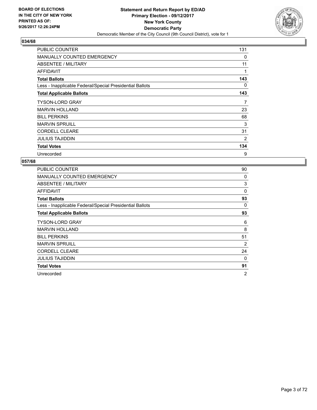

| <b>PUBLIC COUNTER</b>                                    | 131            |
|----------------------------------------------------------|----------------|
| <b>MANUALLY COUNTED EMERGENCY</b>                        | 0              |
| ABSENTEE / MILITARY                                      | 11             |
| <b>AFFIDAVIT</b>                                         | 1              |
| <b>Total Ballots</b>                                     | 143            |
| Less - Inapplicable Federal/Special Presidential Ballots | 0              |
| <b>Total Applicable Ballots</b>                          | 143            |
| <b>TYSON-LORD GRAY</b>                                   | 7              |
| <b>MARVIN HOLLAND</b>                                    | 23             |
| <b>BILL PERKINS</b>                                      | 68             |
| <b>MARVIN SPRUILL</b>                                    | 3              |
| <b>CORDELL CLEARE</b>                                    | 31             |
| <b>JULIUS TAJIDDIN</b>                                   | $\overline{2}$ |
| <b>Total Votes</b>                                       | 134            |
| Unrecorded                                               | 9              |

| <b>PUBLIC COUNTER</b>                                    | 90             |
|----------------------------------------------------------|----------------|
| <b>MANUALLY COUNTED EMERGENCY</b>                        | 0              |
| <b>ABSENTEE / MILITARY</b>                               | 3              |
| AFFIDAVIT                                                | $\Omega$       |
| <b>Total Ballots</b>                                     | 93             |
| Less - Inapplicable Federal/Special Presidential Ballots | 0              |
| <b>Total Applicable Ballots</b>                          | 93             |
| TYSON-LORD GRAY                                          | 6              |
| <b>MARVIN HOLLAND</b>                                    | 8              |
| <b>BILL PERKINS</b>                                      | 51             |
| <b>MARVIN SPRUILL</b>                                    | 2              |
| <b>CORDELL CLEARE</b>                                    | 24             |
| JULIUS TAJIDDIN                                          | 0              |
| <b>Total Votes</b>                                       | 91             |
| Unrecorded                                               | $\overline{2}$ |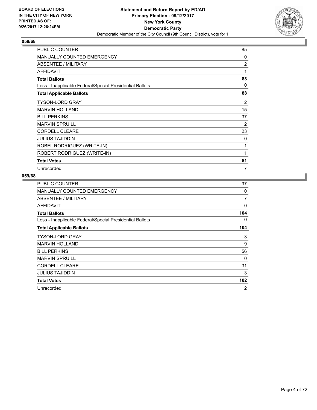

| PUBLIC COUNTER                                           | 85             |
|----------------------------------------------------------|----------------|
| <b>MANUALLY COUNTED EMERGENCY</b>                        | 0              |
| ABSENTEE / MILITARY                                      | $\overline{2}$ |
| <b>AFFIDAVIT</b>                                         | 1              |
| <b>Total Ballots</b>                                     | 88             |
| Less - Inapplicable Federal/Special Presidential Ballots | 0              |
| <b>Total Applicable Ballots</b>                          | 88             |
| <b>TYSON-LORD GRAY</b>                                   | 2              |
| <b>MARVIN HOLLAND</b>                                    | 15             |
| <b>BILL PERKINS</b>                                      | 37             |
| <b>MARVIN SPRUILL</b>                                    | 2              |
| <b>CORDELL CLEARE</b>                                    | 23             |
| <b>JULIUS TAJIDDIN</b>                                   | 0              |
| ROBEL RODRIGUEZ (WRITE-IN)                               | 1              |
| ROBERT RODRIGUEZ (WRITE-IN)                              | 1              |
| <b>Total Votes</b>                                       | 81             |
| Unrecorded                                               | 7              |

| <b>PUBLIC COUNTER</b>                                    | 97  |
|----------------------------------------------------------|-----|
| MANUALLY COUNTED EMERGENCY                               | 0   |
| ABSENTEE / MILITARY                                      | 7   |
| AFFIDAVIT                                                | 0   |
| <b>Total Ballots</b>                                     | 104 |
| Less - Inapplicable Federal/Special Presidential Ballots | 0   |
| <b>Total Applicable Ballots</b>                          | 104 |
| <b>TYSON-LORD GRAY</b>                                   | 3   |
| <b>MARVIN HOLLAND</b>                                    | 9   |
| <b>BILL PERKINS</b>                                      | 56  |
| <b>MARVIN SPRUILL</b>                                    | 0   |
| <b>CORDELL CLEARE</b>                                    | 31  |
| <b>JULIUS TAJIDDIN</b>                                   | 3   |
| <b>Total Votes</b>                                       | 102 |
| Unrecorded                                               | 2   |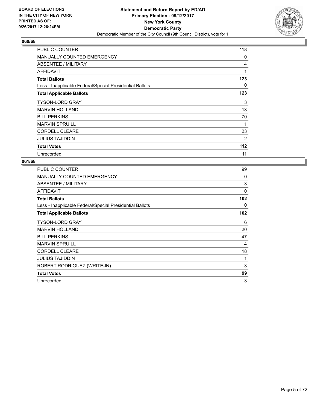

| <b>PUBLIC COUNTER</b>                                    | 118 |
|----------------------------------------------------------|-----|
| <b>MANUALLY COUNTED EMERGENCY</b>                        | 0   |
| ABSENTEE / MILITARY                                      | 4   |
| AFFIDAVIT                                                | 1   |
| <b>Total Ballots</b>                                     | 123 |
| Less - Inapplicable Federal/Special Presidential Ballots | 0   |
| <b>Total Applicable Ballots</b>                          | 123 |
| <b>TYSON-LORD GRAY</b>                                   | 3   |
| <b>MARVIN HOLLAND</b>                                    | 13  |
| <b>BILL PERKINS</b>                                      | 70  |
| <b>MARVIN SPRUILL</b>                                    | 1   |
| <b>CORDELL CLEARE</b>                                    | 23  |
| <b>JULIUS TAJIDDIN</b>                                   | 2   |
| <b>Total Votes</b>                                       | 112 |
| Unrecorded                                               | 11  |

| <b>PUBLIC COUNTER</b>                                    | 99  |
|----------------------------------------------------------|-----|
| <b>MANUALLY COUNTED EMERGENCY</b>                        | 0   |
| ABSENTEE / MILITARY                                      | 3   |
| AFFIDAVIT                                                | 0   |
| <b>Total Ballots</b>                                     | 102 |
| Less - Inapplicable Federal/Special Presidential Ballots | 0   |
| <b>Total Applicable Ballots</b>                          | 102 |
| <b>TYSON-LORD GRAY</b>                                   | 6   |
| <b>MARVIN HOLLAND</b>                                    | 20  |
| <b>BILL PERKINS</b>                                      | 47  |
| <b>MARVIN SPRUILL</b>                                    | 4   |
| <b>CORDELL CLEARE</b>                                    | 18  |
| <b>JULIUS TAJIDDIN</b>                                   | 1   |
| ROBERT RODRIGUEZ (WRITE-IN)                              | 3   |
| <b>Total Votes</b>                                       | 99  |
| Unrecorded                                               | 3   |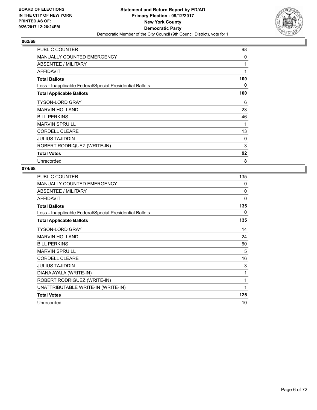

| <b>PUBLIC COUNTER</b>                                    | 98  |
|----------------------------------------------------------|-----|
| <b>MANUALLY COUNTED EMERGENCY</b>                        | 0   |
| ABSENTEE / MILITARY                                      | 1   |
| AFFIDAVIT                                                | 1   |
| <b>Total Ballots</b>                                     | 100 |
| Less - Inapplicable Federal/Special Presidential Ballots | 0   |
| <b>Total Applicable Ballots</b>                          | 100 |
| <b>TYSON-LORD GRAY</b>                                   | 6   |
| <b>MARVIN HOLLAND</b>                                    | 23  |
| <b>BILL PERKINS</b>                                      | 46  |
| <b>MARVIN SPRUILL</b>                                    | 1   |
| <b>CORDELL CLEARE</b>                                    | 13  |
| <b>JULIUS TAJIDDIN</b>                                   | 0   |
| ROBERT RODRIQUEZ (WRITE-IN)                              | 3   |
| <b>Total Votes</b>                                       | 92  |
| Unrecorded                                               | 8   |

| <b>PUBLIC COUNTER</b>                                    | 135      |
|----------------------------------------------------------|----------|
| <b>MANUALLY COUNTED EMERGENCY</b>                        | 0        |
| ABSENTEE / MILITARY                                      | $\Omega$ |
| <b>AFFIDAVIT</b>                                         | $\Omega$ |
| <b>Total Ballots</b>                                     | 135      |
| Less - Inapplicable Federal/Special Presidential Ballots | 0        |
| <b>Total Applicable Ballots</b>                          | 135      |
| TYSON-LORD GRAY                                          | 14       |
| <b>MARVIN HOLLAND</b>                                    | 24       |
| <b>BILL PERKINS</b>                                      | 60       |
| <b>MARVIN SPRUILL</b>                                    | 5        |
| <b>CORDELL CLEARE</b>                                    | 16       |
| <b>JULIUS TAJIDDIN</b>                                   | 3        |
| DIANA AYALA (WRITE-IN)                                   | 1        |
| ROBERT RODRIGUEZ (WRITE-IN)                              | 1        |
| UNATTRIBUTABLE WRITE-IN (WRITE-IN)                       | 1        |
| <b>Total Votes</b>                                       | 125      |
| Unrecorded                                               | 10       |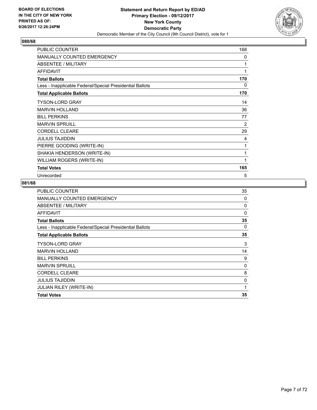

| <b>PUBLIC COUNTER</b>                                    | 168 |
|----------------------------------------------------------|-----|
| <b>MANUALLY COUNTED EMERGENCY</b>                        | 0   |
| ABSENTEE / MILITARY                                      | 1   |
| <b>AFFIDAVIT</b>                                         | 1   |
| <b>Total Ballots</b>                                     | 170 |
| Less - Inapplicable Federal/Special Presidential Ballots | 0   |
| <b>Total Applicable Ballots</b>                          | 170 |
| <b>TYSON-LORD GRAY</b>                                   | 14  |
| <b>MARVIN HOLLAND</b>                                    | 36  |
| <b>BILL PERKINS</b>                                      | 77  |
| <b>MARVIN SPRUILL</b>                                    | 2   |
| <b>CORDELL CLEARE</b>                                    | 29  |
| <b>JULIUS TAJIDDIN</b>                                   | 4   |
| PIERRE GOODING (WRITE-IN)                                | 1   |
| SHAKIA HENDERSON (WRITE-IN)                              | 1   |
| WILLIAM ROGERS (WRITE-IN)                                | 1   |
| <b>Total Votes</b>                                       | 165 |
| Unrecorded                                               | 5   |

| <b>PUBLIC COUNTER</b>                                    | 35       |
|----------------------------------------------------------|----------|
| <b>MANUALLY COUNTED EMERGENCY</b>                        | 0        |
| ABSENTEE / MILITARY                                      | 0        |
| <b>AFFIDAVIT</b>                                         | $\Omega$ |
| <b>Total Ballots</b>                                     | 35       |
| Less - Inapplicable Federal/Special Presidential Ballots | 0        |
| <b>Total Applicable Ballots</b>                          | 35       |
| <b>TYSON-LORD GRAY</b>                                   | 3        |
| <b>MARVIN HOLLAND</b>                                    | 14       |
| <b>BILL PERKINS</b>                                      | 9        |
| <b>MARVIN SPRUILL</b>                                    | 0        |
| <b>CORDELL CLEARE</b>                                    | 8        |
| <b>JULIUS TAJIDDIN</b>                                   | 0        |
| JULIAN RILEY (WRITE-IN)                                  | 1        |
| <b>Total Votes</b>                                       | 35       |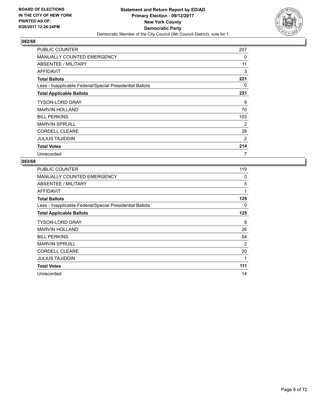

| <b>PUBLIC COUNTER</b>                                    | 207 |
|----------------------------------------------------------|-----|
| <b>MANUALLY COUNTED EMERGENCY</b>                        | 0   |
| ABSENTEE / MILITARY                                      | 11  |
| AFFIDAVIT                                                | 3   |
| <b>Total Ballots</b>                                     | 221 |
| Less - Inapplicable Federal/Special Presidential Ballots | 0   |
| <b>Total Applicable Ballots</b>                          | 221 |
| <b>TYSON-LORD GRAY</b>                                   | 9   |
| <b>MARVIN HOLLAND</b>                                    | 70  |
| <b>BILL PERKINS</b>                                      | 103 |
| <b>MARVIN SPRUILL</b>                                    | 2   |
| <b>CORDELL CLEARE</b>                                    | 28  |
| <b>JULIUS TAJIDDIN</b>                                   | 2   |
| <b>Total Votes</b>                                       | 214 |
| Unrecorded                                               | 7   |

| PUBLIC COUNTER                                           | 119 |
|----------------------------------------------------------|-----|
| <b>MANUALLY COUNTED EMERGENCY</b>                        | 0   |
| ABSENTEE / MILITARY                                      | 5   |
| AFFIDAVIT                                                | 1   |
| <b>Total Ballots</b>                                     | 125 |
| Less - Inapplicable Federal/Special Presidential Ballots | 0   |
| <b>Total Applicable Ballots</b>                          | 125 |
| <b>TYSON-LORD GRAY</b>                                   | 8   |
| <b>MARVIN HOLLAND</b>                                    | 26  |
| <b>BILL PERKINS</b>                                      | 54  |
| <b>MARVIN SPRUILL</b>                                    | 2   |
| <b>CORDELL CLEARE</b>                                    | 20  |
| JULIUS TAJIDDIN                                          | 1   |
| <b>Total Votes</b>                                       | 111 |
| Unrecorded                                               | 14  |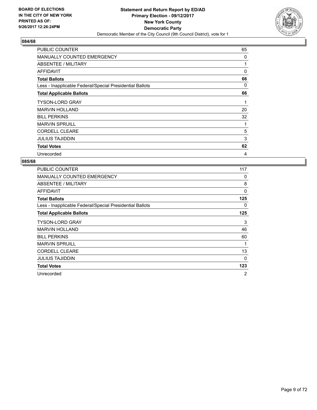

| PUBLIC COUNTER                                           | 65 |
|----------------------------------------------------------|----|
| MANUALLY COUNTED EMERGENCY                               | 0  |
| ABSENTEE / MILITARY                                      | 1  |
| AFFIDAVIT                                                | 0  |
| <b>Total Ballots</b>                                     | 66 |
| Less - Inapplicable Federal/Special Presidential Ballots | 0  |
| <b>Total Applicable Ballots</b>                          | 66 |
| <b>TYSON-LORD GRAY</b>                                   | 1  |
| <b>MARVIN HOLLAND</b>                                    | 20 |
| <b>BILL PERKINS</b>                                      | 32 |
| <b>MARVIN SPRUILL</b>                                    | 1  |
| <b>CORDELL CLEARE</b>                                    | 5  |
| <b>JULIUS TAJIDDIN</b>                                   | 3  |
| <b>Total Votes</b>                                       | 62 |
| Unrecorded                                               | 4  |

| PUBLIC COUNTER                                           | 117            |
|----------------------------------------------------------|----------------|
| <b>MANUALLY COUNTED EMERGENCY</b>                        | 0              |
| <b>ABSENTEE / MILITARY</b>                               | 8              |
| AFFIDAVIT                                                | 0              |
| <b>Total Ballots</b>                                     | 125            |
| Less - Inapplicable Federal/Special Presidential Ballots | 0              |
| <b>Total Applicable Ballots</b>                          | 125            |
| <b>TYSON-LORD GRAY</b>                                   | 3              |
| <b>MARVIN HOLLAND</b>                                    | 46             |
| <b>BILL PERKINS</b>                                      | 60             |
| <b>MARVIN SPRUILL</b>                                    | $\mathbf{1}$   |
| <b>CORDELL CLEARE</b>                                    | 13             |
| JULIUS TAJIDDIN                                          | $\Omega$       |
| <b>Total Votes</b>                                       | 123            |
| Unrecorded                                               | $\overline{2}$ |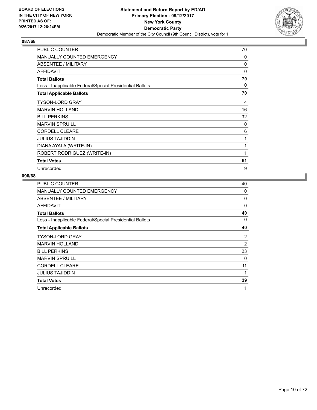

| <b>PUBLIC COUNTER</b>                                    | 70       |
|----------------------------------------------------------|----------|
| MANUALLY COUNTED EMERGENCY                               | $\Omega$ |
| ABSENTEE / MILITARY                                      | 0        |
| <b>AFFIDAVIT</b>                                         | $\Omega$ |
| <b>Total Ballots</b>                                     | 70       |
| Less - Inapplicable Federal/Special Presidential Ballots | 0        |
| <b>Total Applicable Ballots</b>                          | 70       |
| <b>TYSON-LORD GRAY</b>                                   | 4        |
| <b>MARVIN HOLLAND</b>                                    | 16       |
| <b>BILL PERKINS</b>                                      | 32       |
| <b>MARVIN SPRUILL</b>                                    | 0        |
| <b>CORDELL CLEARE</b>                                    | 6        |
| <b>JULIUS TAJIDDIN</b>                                   | 1        |
| DIANA AYALA (WRITE-IN)                                   | 1        |
| ROBERT RODRIGUEZ (WRITE-IN)                              | 1        |
| <b>Total Votes</b>                                       | 61       |
| Unrecorded                                               | 9        |

| PUBLIC COUNTER                                           | 40 |
|----------------------------------------------------------|----|
| <b>MANUALLY COUNTED EMERGENCY</b>                        | 0  |
| ABSENTEE / MILITARY                                      | 0  |
| <b>AFFIDAVIT</b>                                         | 0  |
| <b>Total Ballots</b>                                     | 40 |
| Less - Inapplicable Federal/Special Presidential Ballots | 0  |
| <b>Total Applicable Ballots</b>                          | 40 |
| <b>TYSON-LORD GRAY</b>                                   | 2  |
| <b>MARVIN HOLLAND</b>                                    | 2  |
| <b>BILL PERKINS</b>                                      | 23 |
| <b>MARVIN SPRUILL</b>                                    | 0  |
| <b>CORDELL CLEARE</b>                                    | 11 |
| <b>JULIUS TAJIDDIN</b>                                   | 1  |
| <b>Total Votes</b>                                       | 39 |
| Unrecorded                                               | 1  |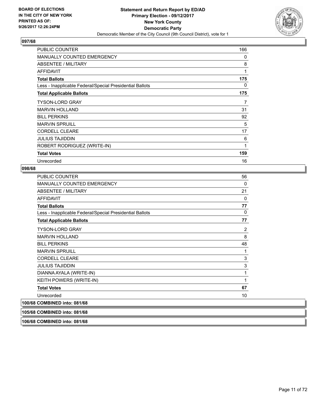

| <b>PUBLIC COUNTER</b>                                    | 166 |
|----------------------------------------------------------|-----|
| <b>MANUALLY COUNTED EMERGENCY</b>                        | 0   |
| ABSENTEE / MILITARY                                      | 8   |
| <b>AFFIDAVIT</b>                                         | 1   |
| <b>Total Ballots</b>                                     | 175 |
| Less - Inapplicable Federal/Special Presidential Ballots | 0   |
| <b>Total Applicable Ballots</b>                          | 175 |
| <b>TYSON-LORD GRAY</b>                                   | 7   |
| <b>MARVIN HOLLAND</b>                                    | 31  |
| <b>BILL PERKINS</b>                                      | 92  |
| <b>MARVIN SPRUILL</b>                                    | 5   |
| <b>CORDELL CLEARE</b>                                    | 17  |
| <b>JULIUS TAJIDDIN</b>                                   | 6   |
| ROBERT RODRIGUEZ (WRITE-IN)                              | 1   |
| <b>Total Votes</b>                                       | 159 |
| Unrecorded                                               | 16  |

## **098/68**

| <b>PUBLIC COUNTER</b>                                    | 56 |
|----------------------------------------------------------|----|
| MANUALLY COUNTED EMERGENCY                               | 0  |
| <b>ABSENTEE / MILITARY</b>                               | 21 |
| <b>AFFIDAVIT</b>                                         | 0  |
| <b>Total Ballots</b>                                     | 77 |
| Less - Inapplicable Federal/Special Presidential Ballots | 0  |
| <b>Total Applicable Ballots</b>                          | 77 |
| <b>TYSON-LORD GRAY</b>                                   | 2  |
| <b>MARVIN HOLLAND</b>                                    | 8  |
| <b>BILL PERKINS</b>                                      | 48 |
| <b>MARVIN SPRUILL</b>                                    | 1  |
| <b>CORDELL CLEARE</b>                                    | 3  |
| <b>JULIUS TAJIDDIN</b>                                   | 3  |
| DIANNA AYALA (WRITE-IN)                                  | 1  |
| KEITH POWERS (WRITE-IN)                                  | 1  |
| <b>Total Votes</b>                                       | 67 |
| Unrecorded                                               | 10 |
| 100/68 COMBINED into: 081/68                             |    |
| 105/68 COMBINED into: 081/68                             |    |

**106/68 COMBINED into: 081/68**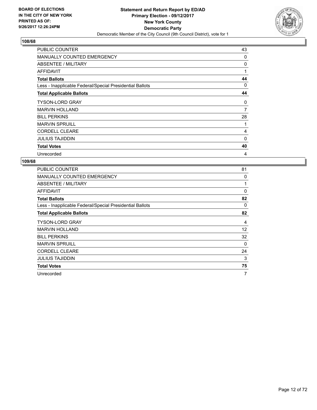

| <b>PUBLIC COUNTER</b>                                    | 43       |
|----------------------------------------------------------|----------|
| <b>MANUALLY COUNTED EMERGENCY</b>                        | 0        |
| ABSENTEE / MILITARY                                      | 0        |
| AFFIDAVIT                                                | 1        |
| <b>Total Ballots</b>                                     | 44       |
| Less - Inapplicable Federal/Special Presidential Ballots | 0        |
| <b>Total Applicable Ballots</b>                          | 44       |
| <b>TYSON-LORD GRAY</b>                                   | 0        |
| <b>MARVIN HOLLAND</b>                                    | 7        |
| <b>BILL PERKINS</b>                                      | 28       |
| <b>MARVIN SPRUILL</b>                                    | 1        |
| <b>CORDELL CLEARE</b>                                    | 4        |
| <b>JULIUS TAJIDDIN</b>                                   | $\Omega$ |
| <b>Total Votes</b>                                       | 40       |
| Unrecorded                                               | 4        |

| <b>PUBLIC COUNTER</b>                                    | 81       |
|----------------------------------------------------------|----------|
| <b>MANUALLY COUNTED EMERGENCY</b>                        | 0        |
| ABSENTEE / MILITARY                                      | 1        |
| AFFIDAVIT                                                | $\Omega$ |
| <b>Total Ballots</b>                                     | 82       |
| Less - Inapplicable Federal/Special Presidential Ballots | 0        |
| <b>Total Applicable Ballots</b>                          | 82       |
| <b>TYSON-LORD GRAY</b>                                   | 4        |
| <b>MARVIN HOLLAND</b>                                    | 12       |
| <b>BILL PERKINS</b>                                      | 32       |
| <b>MARVIN SPRUILL</b>                                    | $\Omega$ |
| <b>CORDELL CLEARE</b>                                    | 24       |
| <b>JULIUS TAJIDDIN</b>                                   | 3        |
| <b>Total Votes</b>                                       | 75       |
| Unrecorded                                               | 7        |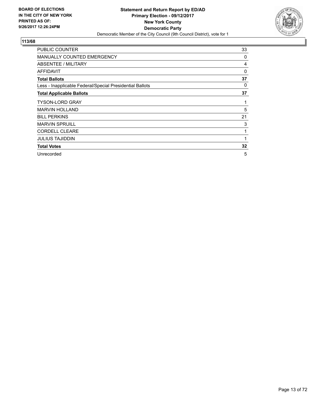

| PUBLIC COUNTER                                           | 33 |
|----------------------------------------------------------|----|
| <b>MANUALLY COUNTED EMERGENCY</b>                        | 0  |
| ABSENTEE / MILITARY                                      | 4  |
| <b>AFFIDAVIT</b>                                         | 0  |
| <b>Total Ballots</b>                                     | 37 |
| Less - Inapplicable Federal/Special Presidential Ballots | 0  |
| <b>Total Applicable Ballots</b>                          | 37 |
| <b>TYSON-LORD GRAY</b>                                   | 1  |
| <b>MARVIN HOLLAND</b>                                    | 5  |
| <b>BILL PERKINS</b>                                      | 21 |
| <b>MARVIN SPRUILL</b>                                    | 3  |
| <b>CORDELL CLEARE</b>                                    | 1  |
| <b>JULIUS TAJIDDIN</b>                                   | 1  |
| <b>Total Votes</b>                                       | 32 |
| Unrecorded                                               | 5  |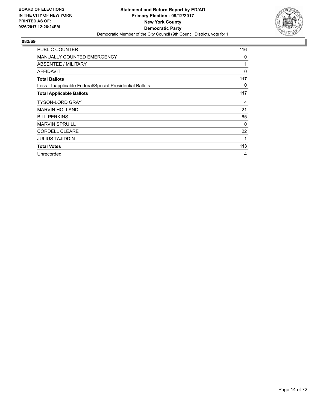

| <b>PUBLIC COUNTER</b>                                    | 116 |
|----------------------------------------------------------|-----|
| <b>MANUALLY COUNTED EMERGENCY</b>                        | 0   |
| ABSENTEE / MILITARY                                      | 1   |
| AFFIDAVIT                                                | 0   |
| <b>Total Ballots</b>                                     | 117 |
| Less - Inapplicable Federal/Special Presidential Ballots | 0   |
| <b>Total Applicable Ballots</b>                          | 117 |
| <b>TYSON-LORD GRAY</b>                                   | 4   |
| <b>MARVIN HOLLAND</b>                                    | 21  |
| <b>BILL PERKINS</b>                                      | 65  |
| <b>MARVIN SPRUILL</b>                                    | 0   |
| <b>CORDELL CLEARE</b>                                    | 22  |
| <b>JULIUS TAJIDDIN</b>                                   | 1   |
| <b>Total Votes</b>                                       | 113 |
| Unrecorded                                               | 4   |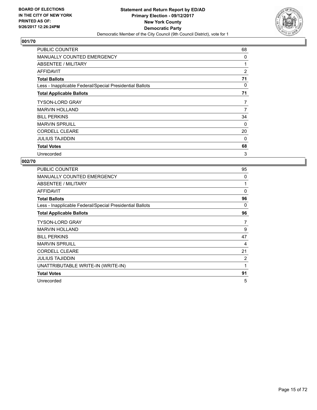

| PUBLIC COUNTER                                           | 68 |
|----------------------------------------------------------|----|
| MANUALLY COUNTED EMERGENCY                               | 0  |
| ABSENTEE / MILITARY                                      | 1  |
| <b>AFFIDAVIT</b>                                         | 2  |
| <b>Total Ballots</b>                                     | 71 |
| Less - Inapplicable Federal/Special Presidential Ballots | 0  |
| <b>Total Applicable Ballots</b>                          | 71 |
| <b>TYSON-LORD GRAY</b>                                   | 7  |
| <b>MARVIN HOLLAND</b>                                    | 7  |
| <b>BILL PERKINS</b>                                      | 34 |
| <b>MARVIN SPRUILL</b>                                    | 0  |
| <b>CORDELL CLEARE</b>                                    | 20 |
| <b>JULIUS TAJIDDIN</b>                                   | 0  |
| <b>Total Votes</b>                                       | 68 |
| Unrecorded                                               | 3  |

| PUBLIC COUNTER                                           | 95       |
|----------------------------------------------------------|----------|
| <b>MANUALLY COUNTED EMERGENCY</b>                        | 0        |
| ABSENTEE / MILITARY                                      | 1        |
| AFFIDAVIT                                                | 0        |
| <b>Total Ballots</b>                                     | 96       |
| Less - Inapplicable Federal/Special Presidential Ballots | $\Omega$ |
| <b>Total Applicable Ballots</b>                          | 96       |
| <b>TYSON-LORD GRAY</b>                                   | 7        |
| <b>MARVIN HOLLAND</b>                                    | 9        |
| <b>BILL PERKINS</b>                                      | 47       |
| <b>MARVIN SPRUILL</b>                                    | 4        |
| <b>CORDELL CLEARE</b>                                    | 21       |
| <b>JULIUS TAJIDDIN</b>                                   | 2        |
| UNATTRIBUTABLE WRITE-IN (WRITE-IN)                       | 1        |
| <b>Total Votes</b>                                       | 91       |
| Unrecorded                                               | 5        |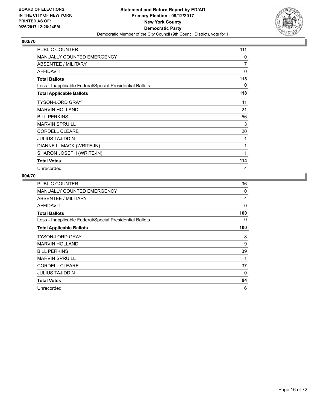

| <b>PUBLIC COUNTER</b>                                    | 111 |
|----------------------------------------------------------|-----|
| <b>MANUALLY COUNTED EMERGENCY</b>                        | 0   |
| ABSENTEE / MILITARY                                      | 7   |
| <b>AFFIDAVIT</b>                                         | 0   |
| <b>Total Ballots</b>                                     | 118 |
| Less - Inapplicable Federal/Special Presidential Ballots | 0   |
| <b>Total Applicable Ballots</b>                          | 118 |
| <b>TYSON-LORD GRAY</b>                                   | 11  |
| <b>MARVIN HOLLAND</b>                                    | 21  |
| <b>BILL PERKINS</b>                                      | 56  |
| <b>MARVIN SPRUILL</b>                                    | 3   |
| <b>CORDELL CLEARE</b>                                    | 20  |
| <b>JULIUS TAJIDDIN</b>                                   | 1   |
| DIANNE L. MACK (WRITE-IN)                                | 1   |
| SHARON JOSEPH (WRITE-IN)                                 | 1   |
| <b>Total Votes</b>                                       | 114 |
| Unrecorded                                               | 4   |

| <b>PUBLIC COUNTER</b>                                    | 96  |
|----------------------------------------------------------|-----|
| MANUALLY COUNTED EMERGENCY                               | 0   |
| ABSENTEE / MILITARY                                      | 4   |
| <b>AFFIDAVIT</b>                                         | 0   |
| <b>Total Ballots</b>                                     | 100 |
| Less - Inapplicable Federal/Special Presidential Ballots | 0   |
| <b>Total Applicable Ballots</b>                          | 100 |
| <b>TYSON-LORD GRAY</b>                                   | 8   |
| <b>MARVIN HOLLAND</b>                                    | 9   |
| <b>BILL PERKINS</b>                                      | 39  |
| <b>MARVIN SPRUILL</b>                                    | 1   |
| <b>CORDELL CLEARE</b>                                    | 37  |
| <b>JULIUS TAJIDDIN</b>                                   | 0   |
| <b>Total Votes</b>                                       | 94  |
| Unrecorded                                               | 6   |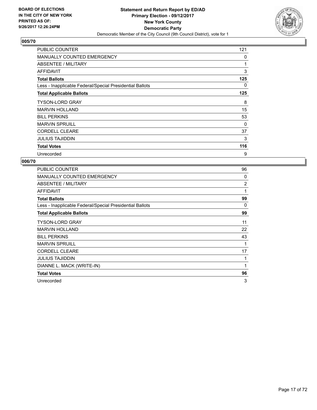

| <b>PUBLIC COUNTER</b>                                    | 121 |
|----------------------------------------------------------|-----|
| <b>MANUALLY COUNTED EMERGENCY</b>                        | 0   |
| ABSENTEE / MILITARY                                      | 1   |
| AFFIDAVIT                                                | 3   |
| <b>Total Ballots</b>                                     | 125 |
| Less - Inapplicable Federal/Special Presidential Ballots | 0   |
| <b>Total Applicable Ballots</b>                          | 125 |
| <b>TYSON-LORD GRAY</b>                                   | 8   |
| <b>MARVIN HOLLAND</b>                                    | 15  |
| <b>BILL PERKINS</b>                                      | 53  |
| <b>MARVIN SPRUILL</b>                                    | 0   |
| <b>CORDELL CLEARE</b>                                    | 37  |
| <b>JULIUS TAJIDDIN</b>                                   | 3   |
| <b>Total Votes</b>                                       | 116 |
| Unrecorded                                               | 9   |

| <b>PUBLIC COUNTER</b>                                    | 96             |
|----------------------------------------------------------|----------------|
| <b>MANUALLY COUNTED EMERGENCY</b>                        | 0              |
| ABSENTEE / MILITARY                                      | $\overline{2}$ |
| AFFIDAVIT                                                | 1              |
| <b>Total Ballots</b>                                     | 99             |
| Less - Inapplicable Federal/Special Presidential Ballots | $\Omega$       |
| <b>Total Applicable Ballots</b>                          | 99             |
| <b>TYSON-LORD GRAY</b>                                   | 11             |
| <b>MARVIN HOLLAND</b>                                    | 22             |
| <b>BILL PERKINS</b>                                      | 43             |
| <b>MARVIN SPRUILL</b>                                    | 1              |
| <b>CORDELL CLEARE</b>                                    | 17             |
| <b>JULIUS TAJIDDIN</b>                                   | 1              |
| DIANNE L. MACK (WRITE-IN)                                | $\mathbf{1}$   |
| <b>Total Votes</b>                                       | 96             |
| Unrecorded                                               | 3              |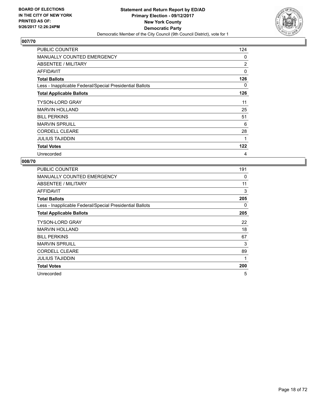

| <b>PUBLIC COUNTER</b>                                    | 124 |
|----------------------------------------------------------|-----|
| <b>MANUALLY COUNTED EMERGENCY</b>                        | 0   |
| ABSENTEE / MILITARY                                      | 2   |
| AFFIDAVIT                                                | 0   |
| <b>Total Ballots</b>                                     | 126 |
| Less - Inapplicable Federal/Special Presidential Ballots | 0   |
| <b>Total Applicable Ballots</b>                          | 126 |
| <b>TYSON-LORD GRAY</b>                                   | 11  |
| <b>MARVIN HOLLAND</b>                                    | 25  |
| <b>BILL PERKINS</b>                                      | 51  |
| <b>MARVIN SPRUILL</b>                                    | 6   |
| <b>CORDELL CLEARE</b>                                    | 28  |
| <b>JULIUS TAJIDDIN</b>                                   | 1   |
| <b>Total Votes</b>                                       | 122 |
| Unrecorded                                               | 4   |

| <b>PUBLIC COUNTER</b>                                    | 191 |
|----------------------------------------------------------|-----|
| <b>MANUALLY COUNTED EMERGENCY</b>                        | 0   |
| <b>ABSENTEE / MILITARY</b>                               | 11  |
| <b>AFFIDAVIT</b>                                         | 3   |
| <b>Total Ballots</b>                                     | 205 |
| Less - Inapplicable Federal/Special Presidential Ballots | 0   |
| <b>Total Applicable Ballots</b>                          | 205 |
| <b>TYSON-LORD GRAY</b>                                   | 22  |
| <b>MARVIN HOLLAND</b>                                    | 18  |
| <b>BILL PERKINS</b>                                      | 67  |
| <b>MARVIN SPRUILL</b>                                    | 3   |
| <b>CORDELL CLEARE</b>                                    | 89  |
| JULIUS TAJIDDIN                                          | 1   |
| <b>Total Votes</b>                                       | 200 |
| Unrecorded                                               | 5   |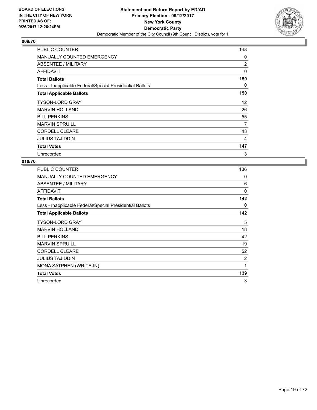

| <b>PUBLIC COUNTER</b>                                    | 148 |
|----------------------------------------------------------|-----|
| <b>MANUALLY COUNTED EMERGENCY</b>                        | 0   |
| ABSENTEE / MILITARY                                      | 2   |
| AFFIDAVIT                                                | 0   |
| <b>Total Ballots</b>                                     | 150 |
| Less - Inapplicable Federal/Special Presidential Ballots | 0   |
| <b>Total Applicable Ballots</b>                          | 150 |
| <b>TYSON-LORD GRAY</b>                                   | 12  |
| <b>MARVIN HOLLAND</b>                                    | 26  |
| <b>BILL PERKINS</b>                                      | 55  |
| <b>MARVIN SPRUILL</b>                                    | 7   |
| <b>CORDELL CLEARE</b>                                    | 43  |
| <b>JULIUS TAJIDDIN</b>                                   | 4   |
| <b>Total Votes</b>                                       | 147 |
| Unrecorded                                               | 3   |

| PUBLIC COUNTER                                           | 136 |
|----------------------------------------------------------|-----|
| MANUALLY COUNTED EMERGENCY                               | 0   |
| ABSENTEE / MILITARY                                      | 6   |
| AFFIDAVIT                                                | 0   |
| <b>Total Ballots</b>                                     | 142 |
| Less - Inapplicable Federal/Special Presidential Ballots | 0   |
| <b>Total Applicable Ballots</b>                          | 142 |
| <b>TYSON-LORD GRAY</b>                                   | 5   |
| <b>MARVIN HOLLAND</b>                                    | 18  |
| <b>BILL PERKINS</b>                                      | 42  |
| <b>MARVIN SPRUILL</b>                                    | 19  |
| <b>CORDELL CLEARE</b>                                    | 52  |
| <b>JULIUS TAJIDDIN</b>                                   | 2   |
| <b>MONA SATPHEN (WRITE-IN)</b>                           | 1   |
| <b>Total Votes</b>                                       | 139 |
| Unrecorded                                               | 3   |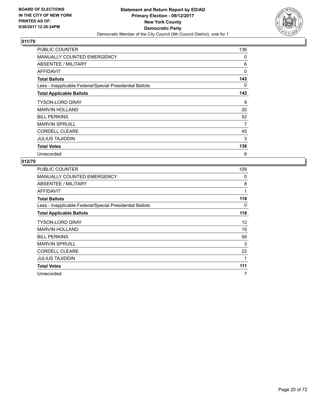

| <b>PUBLIC COUNTER</b>                                    | 136      |
|----------------------------------------------------------|----------|
| <b>MANUALLY COUNTED EMERGENCY</b>                        | 0        |
| ABSENTEE / MILITARY                                      | 6        |
| <b>AFFIDAVIT</b>                                         | $\Omega$ |
| <b>Total Ballots</b>                                     | 142      |
| Less - Inapplicable Federal/Special Presidential Ballots | 0        |
| <b>Total Applicable Ballots</b>                          | 142      |
| <b>TYSON-LORD GRAY</b>                                   | 9        |
| <b>MARVIN HOLLAND</b>                                    | 20       |
| <b>BILL PERKINS</b>                                      | 52       |
| <b>MARVIN SPRUILL</b>                                    | 7        |
| <b>CORDELL CLEARE</b>                                    | 45       |
| <b>JULIUS TAJIDDIN</b>                                   | 3        |
| <b>Total Votes</b>                                       | 136      |
| Unrecorded                                               | 6        |

| <b>PUBLIC COUNTER</b>                                    | 109 |
|----------------------------------------------------------|-----|
| <b>MANUALLY COUNTED EMERGENCY</b>                        | 0   |
| ABSENTEE / MILITARY                                      | 8   |
| AFFIDAVIT                                                | 1   |
| <b>Total Ballots</b>                                     | 118 |
| Less - Inapplicable Federal/Special Presidential Ballots | 0   |
| <b>Total Applicable Ballots</b>                          | 118 |
| <b>TYSON-LORD GRAY</b>                                   | 12  |
| <b>MARVIN HOLLAND</b>                                    | 15  |
| <b>BILL PERKINS</b>                                      | 58  |
| <b>MARVIN SPRUILL</b>                                    | 3   |
| <b>CORDELL CLEARE</b>                                    | 22  |
| <b>JULIUS TAJIDDIN</b>                                   | 1   |
| <b>Total Votes</b>                                       | 111 |
| Unrecorded                                               | 7   |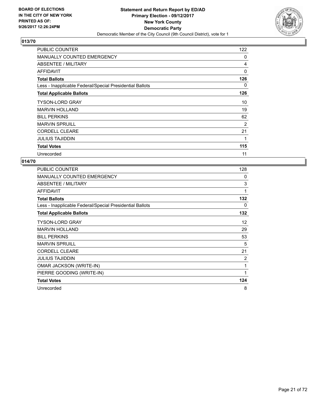

| <b>PUBLIC COUNTER</b>                                    | 122      |
|----------------------------------------------------------|----------|
| <b>MANUALLY COUNTED EMERGENCY</b>                        | 0        |
| ABSENTEE / MILITARY                                      | 4        |
| <b>AFFIDAVIT</b>                                         | $\Omega$ |
| <b>Total Ballots</b>                                     | 126      |
| Less - Inapplicable Federal/Special Presidential Ballots | 0        |
| <b>Total Applicable Ballots</b>                          | 126      |
| <b>TYSON-LORD GRAY</b>                                   | 10       |
| <b>MARVIN HOLLAND</b>                                    | 19       |
| <b>BILL PERKINS</b>                                      | 62       |
| <b>MARVIN SPRUILL</b>                                    | 2        |
| <b>CORDELL CLEARE</b>                                    | 21       |
| <b>JULIUS TAJIDDIN</b>                                   | 1        |
| <b>Total Votes</b>                                       | 115      |
| Unrecorded                                               | 11       |

| PUBLIC COUNTER                                           | 128            |
|----------------------------------------------------------|----------------|
| <b>MANUALLY COUNTED EMERGENCY</b>                        | 0              |
| ABSENTEE / MILITARY                                      | 3              |
| <b>AFFIDAVIT</b>                                         | 1              |
| <b>Total Ballots</b>                                     | 132            |
| Less - Inapplicable Federal/Special Presidential Ballots | 0              |
| <b>Total Applicable Ballots</b>                          | 132            |
| <b>TYSON-LORD GRAY</b>                                   | 12             |
| <b>MARVIN HOLLAND</b>                                    | 29             |
| <b>BILL PERKINS</b>                                      | 53             |
| <b>MARVIN SPRUILL</b>                                    | 5              |
| <b>CORDELL CLEARE</b>                                    | 21             |
| <b>JULIUS TAJIDDIN</b>                                   | $\overline{2}$ |
| OMAR JACKSON (WRITE-IN)                                  | 1              |
| PIERRE GOODING (WRITE-IN)                                | 1              |
| <b>Total Votes</b>                                       | 124            |
| Unrecorded                                               | 8              |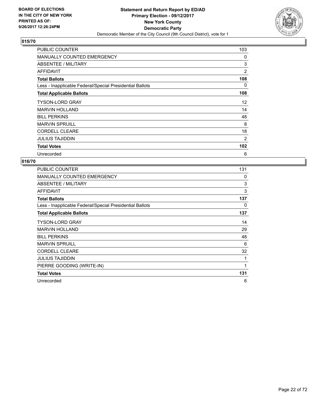

| <b>PUBLIC COUNTER</b>                                    | 103 |
|----------------------------------------------------------|-----|
| <b>MANUALLY COUNTED EMERGENCY</b>                        | 0   |
| ABSENTEE / MILITARY                                      | 3   |
| <b>AFFIDAVIT</b>                                         | 2   |
| <b>Total Ballots</b>                                     | 108 |
| Less - Inapplicable Federal/Special Presidential Ballots | 0   |
| <b>Total Applicable Ballots</b>                          | 108 |
| <b>TYSON-LORD GRAY</b>                                   | 12  |
| <b>MARVIN HOLLAND</b>                                    | 14  |
| <b>BILL PERKINS</b>                                      | 48  |
| <b>MARVIN SPRUILL</b>                                    | 8   |
| <b>CORDELL CLEARE</b>                                    | 18  |
| <b>JULIUS TAJIDDIN</b>                                   | 2   |
| <b>Total Votes</b>                                       | 102 |
| Unrecorded                                               | 6   |

| PUBLIC COUNTER                                           | 131          |
|----------------------------------------------------------|--------------|
| <b>MANUALLY COUNTED EMERGENCY</b>                        | 0            |
| ABSENTEE / MILITARY                                      | 3            |
| <b>AFFIDAVIT</b>                                         | 3            |
| <b>Total Ballots</b>                                     | 137          |
| Less - Inapplicable Federal/Special Presidential Ballots | 0            |
| <b>Total Applicable Ballots</b>                          | 137          |
| <b>TYSON-LORD GRAY</b>                                   | 14           |
| <b>MARVIN HOLLAND</b>                                    | 29           |
| <b>BILL PERKINS</b>                                      | 48           |
| <b>MARVIN SPRUILL</b>                                    | 6            |
| <b>CORDELL CLEARE</b>                                    | 32           |
| <b>JULIUS TAJIDDIN</b>                                   | 1            |
| PIERRE GOODING (WRITE-IN)                                | $\mathbf{1}$ |
| <b>Total Votes</b>                                       | 131          |
| Unrecorded                                               | 6            |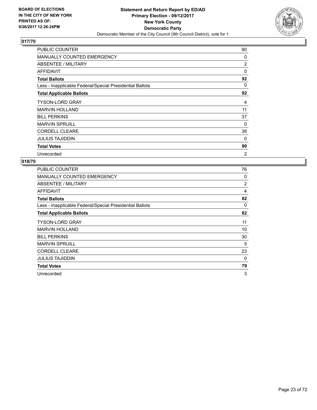

| <b>PUBLIC COUNTER</b>                                    | 90             |
|----------------------------------------------------------|----------------|
| <b>MANUALLY COUNTED EMERGENCY</b>                        | 0              |
| ABSENTEE / MILITARY                                      | 2              |
| <b>AFFIDAVIT</b>                                         | $\Omega$       |
| <b>Total Ballots</b>                                     | 92             |
| Less - Inapplicable Federal/Special Presidential Ballots | 0              |
| <b>Total Applicable Ballots</b>                          | 92             |
| <b>TYSON-LORD GRAY</b>                                   | 4              |
| <b>MARVIN HOLLAND</b>                                    | 11             |
| <b>BILL PERKINS</b>                                      | 37             |
| <b>MARVIN SPRUILL</b>                                    | 0              |
| <b>CORDELL CLEARE</b>                                    | 38             |
| <b>JULIUS TAJIDDIN</b>                                   | 0              |
| <b>Total Votes</b>                                       | 90             |
| Unrecorded                                               | $\overline{2}$ |

| <b>PUBLIC COUNTER</b>                                    | 76             |
|----------------------------------------------------------|----------------|
| <b>MANUALLY COUNTED EMERGENCY</b>                        | 0              |
| ABSENTEE / MILITARY                                      | $\overline{2}$ |
| AFFIDAVIT                                                | 4              |
| <b>Total Ballots</b>                                     | 82             |
| Less - Inapplicable Federal/Special Presidential Ballots | 0              |
| <b>Total Applicable Ballots</b>                          | 82             |
| <b>TYSON-LORD GRAY</b>                                   | 11             |
| <b>MARVIN HOLLAND</b>                                    | 10             |
| <b>BILL PERKINS</b>                                      | 30             |
| <b>MARVIN SPRUILL</b>                                    | 5              |
| <b>CORDELL CLEARE</b>                                    | 23             |
| JULIUS TAJIDDIN                                          | 0              |
| <b>Total Votes</b>                                       | 79             |
| Unrecorded                                               | 3              |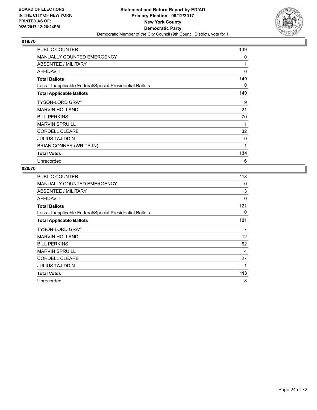

| PUBLIC COUNTER                                           | 139 |
|----------------------------------------------------------|-----|
| <b>MANUALLY COUNTED EMERGENCY</b>                        | 0   |
| ABSENTEE / MILITARY                                      | 1   |
| <b>AFFIDAVIT</b>                                         | 0   |
| <b>Total Ballots</b>                                     | 140 |
| Less - Inapplicable Federal/Special Presidential Ballots | 0   |
| <b>Total Applicable Ballots</b>                          | 140 |
| <b>TYSON-LORD GRAY</b>                                   | 9   |
| <b>MARVIN HOLLAND</b>                                    | 21  |
| <b>BILL PERKINS</b>                                      | 70  |
| <b>MARVIN SPRUILL</b>                                    | 1   |
| <b>CORDELL CLEARE</b>                                    | 32  |
| <b>JULIUS TAJIDDIN</b>                                   | 0   |
| BRIAN CONNER (WRITE-IN)                                  | 1   |
| <b>Total Votes</b>                                       | 134 |
| Unrecorded                                               | 6   |

| <b>PUBLIC COUNTER</b>                                    | 118 |
|----------------------------------------------------------|-----|
| <b>MANUALLY COUNTED EMERGENCY</b>                        | 0   |
| ABSENTEE / MILITARY                                      | 3   |
| <b>AFFIDAVIT</b>                                         | 0   |
| <b>Total Ballots</b>                                     | 121 |
| Less - Inapplicable Federal/Special Presidential Ballots | 0   |
| <b>Total Applicable Ballots</b>                          | 121 |
| <b>TYSON-LORD GRAY</b>                                   | 7   |
| <b>MARVIN HOLLAND</b>                                    | 12  |
| <b>BILL PERKINS</b>                                      | 62  |
| <b>MARVIN SPRUILL</b>                                    | 4   |
| <b>CORDELL CLEARE</b>                                    | 27  |
| <b>JULIUS TAJIDDIN</b>                                   | 1   |
| <b>Total Votes</b>                                       | 113 |
| Unrecorded                                               | 8   |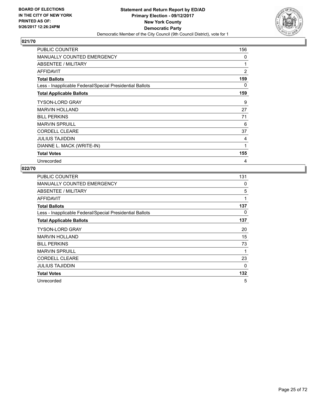

| PUBLIC COUNTER                                           | 156            |
|----------------------------------------------------------|----------------|
| <b>MANUALLY COUNTED EMERGENCY</b>                        | 0              |
| ABSENTEE / MILITARY                                      | 1              |
| <b>AFFIDAVIT</b>                                         | $\overline{2}$ |
| <b>Total Ballots</b>                                     | 159            |
| Less - Inapplicable Federal/Special Presidential Ballots | 0              |
| <b>Total Applicable Ballots</b>                          | 159            |
| <b>TYSON-LORD GRAY</b>                                   | 9              |
| <b>MARVIN HOLLAND</b>                                    | 27             |
| <b>BILL PERKINS</b>                                      | 71             |
| <b>MARVIN SPRUILL</b>                                    | 6              |
| <b>CORDELL CLEARE</b>                                    | 37             |
| <b>JULIUS TAJIDDIN</b>                                   | 4              |
| DIANNE L. MACK (WRITE-IN)                                | 1              |
| <b>Total Votes</b>                                       | 155            |
| Unrecorded                                               | 4              |

| <b>PUBLIC COUNTER</b>                                    | 131 |
|----------------------------------------------------------|-----|
| <b>MANUALLY COUNTED EMERGENCY</b>                        | 0   |
| ABSENTEE / MILITARY                                      | 5   |
| AFFIDAVIT                                                | 1   |
| <b>Total Ballots</b>                                     | 137 |
| Less - Inapplicable Federal/Special Presidential Ballots | 0   |
| <b>Total Applicable Ballots</b>                          | 137 |
| <b>TYSON-LORD GRAY</b>                                   | 20  |
| <b>MARVIN HOLLAND</b>                                    | 15  |
| <b>BILL PERKINS</b>                                      | 73  |
| <b>MARVIN SPRUILL</b>                                    | 1   |
| <b>CORDELL CLEARE</b>                                    | 23  |
| <b>JULIUS TAJIDDIN</b>                                   | 0   |
| <b>Total Votes</b>                                       | 132 |
| Unrecorded                                               | 5   |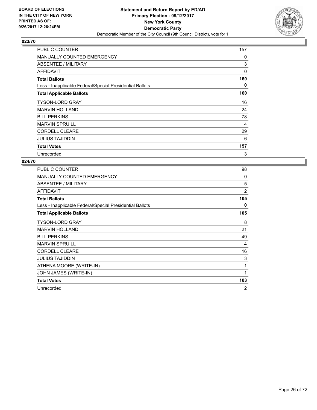

| <b>PUBLIC COUNTER</b>                                    | 157 |
|----------------------------------------------------------|-----|
| <b>MANUALLY COUNTED EMERGENCY</b>                        | 0   |
| ABSENTEE / MILITARY                                      | 3   |
| AFFIDAVIT                                                | 0   |
| <b>Total Ballots</b>                                     | 160 |
| Less - Inapplicable Federal/Special Presidential Ballots | 0   |
| <b>Total Applicable Ballots</b>                          | 160 |
| <b>TYSON-LORD GRAY</b>                                   | 16  |
| <b>MARVIN HOLLAND</b>                                    | 24  |
| <b>BILL PERKINS</b>                                      | 78  |
| <b>MARVIN SPRUILL</b>                                    | 4   |
| <b>CORDELL CLEARE</b>                                    | 29  |
| <b>JULIUS TAJIDDIN</b>                                   | 6   |
| <b>Total Votes</b>                                       | 157 |
| Unrecorded                                               | 3   |

| PUBLIC COUNTER                                           | 98             |
|----------------------------------------------------------|----------------|
| <b>MANUALLY COUNTED EMERGENCY</b>                        | 0              |
| ABSENTEE / MILITARY                                      | 5              |
| <b>AFFIDAVIT</b>                                         | $\overline{2}$ |
| <b>Total Ballots</b>                                     | 105            |
| Less - Inapplicable Federal/Special Presidential Ballots | 0              |
| <b>Total Applicable Ballots</b>                          | 105            |
| <b>TYSON-LORD GRAY</b>                                   | 8              |
| <b>MARVIN HOLLAND</b>                                    | 21             |
| <b>BILL PERKINS</b>                                      | 49             |
| <b>MARVIN SPRUILL</b>                                    | 4              |
| <b>CORDELL CLEARE</b>                                    | 16             |
| <b>JULIUS TAJIDDIN</b>                                   | 3              |
| ATHENA MOORE (WRITE-IN)                                  | 1              |
| JOHN JAMES (WRITE-IN)                                    | 1              |
| <b>Total Votes</b>                                       | 103            |
| Unrecorded                                               | $\overline{2}$ |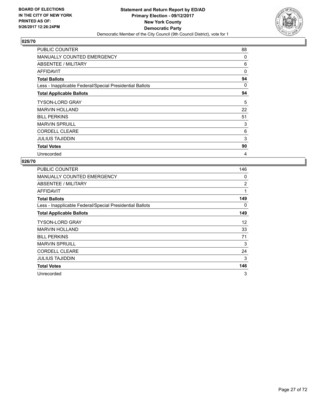

| <b>PUBLIC COUNTER</b>                                    | 88       |
|----------------------------------------------------------|----------|
| <b>MANUALLY COUNTED EMERGENCY</b>                        | 0        |
| ABSENTEE / MILITARY                                      | 6        |
| <b>AFFIDAVIT</b>                                         | $\Omega$ |
| <b>Total Ballots</b>                                     | 94       |
| Less - Inapplicable Federal/Special Presidential Ballots | 0        |
| <b>Total Applicable Ballots</b>                          | 94       |
| <b>TYSON-LORD GRAY</b>                                   | 5        |
| <b>MARVIN HOLLAND</b>                                    | 22       |
| <b>BILL PERKINS</b>                                      | 51       |
| <b>MARVIN SPRUILL</b>                                    | 3        |
| <b>CORDELL CLEARE</b>                                    | 6        |
| <b>JULIUS TAJIDDIN</b>                                   | 3        |
| <b>Total Votes</b>                                       | 90       |
| Unrecorded                                               | 4        |

| PUBLIC COUNTER                                           | 146 |
|----------------------------------------------------------|-----|
| <b>MANUALLY COUNTED EMERGENCY</b>                        | 0   |
| <b>ABSENTEE / MILITARY</b>                               | 2   |
| AFFIDAVIT                                                | 1   |
| <b>Total Ballots</b>                                     | 149 |
| Less - Inapplicable Federal/Special Presidential Ballots | 0   |
| <b>Total Applicable Ballots</b>                          | 149 |
| <b>TYSON-LORD GRAY</b>                                   | 12  |
| <b>MARVIN HOLLAND</b>                                    | 33  |
| <b>BILL PERKINS</b>                                      | 71  |
| <b>MARVIN SPRUILL</b>                                    | 3   |
| <b>CORDELL CLEARE</b>                                    | 24  |
| JULIUS TAJIDDIN                                          | 3   |
| <b>Total Votes</b>                                       | 146 |
| Unrecorded                                               | 3   |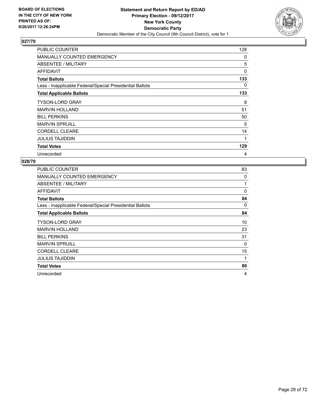

| <b>PUBLIC COUNTER</b>                                    | 128 |
|----------------------------------------------------------|-----|
| <b>MANUALLY COUNTED EMERGENCY</b>                        | 0   |
| ABSENTEE / MILITARY                                      | 5   |
| AFFIDAVIT                                                | 0   |
| <b>Total Ballots</b>                                     | 133 |
| Less - Inapplicable Federal/Special Presidential Ballots | 0   |
| <b>Total Applicable Ballots</b>                          | 133 |
| <b>TYSON-LORD GRAY</b>                                   | 8   |
| <b>MARVIN HOLLAND</b>                                    | 51  |
| <b>BILL PERKINS</b>                                      | 50  |
| <b>MARVIN SPRUILL</b>                                    | 5   |
| <b>CORDELL CLEARE</b>                                    | 14  |
| <b>JULIUS TAJIDDIN</b>                                   | 1   |
| <b>Total Votes</b>                                       | 129 |
| Unrecorded                                               | 4   |

| <b>PUBLIC COUNTER</b>                                    | 83       |
|----------------------------------------------------------|----------|
| <b>MANUALLY COUNTED EMERGENCY</b>                        | 0        |
| ABSENTEE / MILITARY                                      | 1        |
| <b>AFFIDAVIT</b>                                         | $\Omega$ |
| <b>Total Ballots</b>                                     | 84       |
| Less - Inapplicable Federal/Special Presidential Ballots | 0        |
| <b>Total Applicable Ballots</b>                          | 84       |
| TYSON-LORD GRAY                                          | 10       |
| <b>MARVIN HOLLAND</b>                                    | 23       |
| <b>BILL PERKINS</b>                                      | 31       |
| <b>MARVIN SPRUILL</b>                                    | $\Omega$ |
| <b>CORDELL CLEARE</b>                                    | 15       |
| <b>JULIUS TAJIDDIN</b>                                   | 1        |
| <b>Total Votes</b>                                       | 80       |
| Unrecorded                                               | 4        |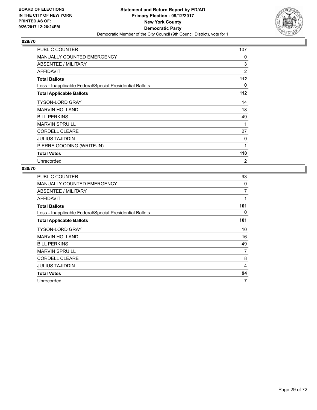

| PUBLIC COUNTER                                           | 107            |
|----------------------------------------------------------|----------------|
| <b>MANUALLY COUNTED EMERGENCY</b>                        | 0              |
| ABSENTEE / MILITARY                                      | 3              |
| <b>AFFIDAVIT</b>                                         | $\overline{2}$ |
| <b>Total Ballots</b>                                     | 112            |
| Less - Inapplicable Federal/Special Presidential Ballots | 0              |
| <b>Total Applicable Ballots</b>                          | 112            |
| <b>TYSON-LORD GRAY</b>                                   | 14             |
| <b>MARVIN HOLLAND</b>                                    | 18             |
| <b>BILL PERKINS</b>                                      | 49             |
| <b>MARVIN SPRUILL</b>                                    | 1              |
| <b>CORDELL CLEARE</b>                                    | 27             |
| <b>JULIUS TAJIDDIN</b>                                   | 0              |
| PIERRE GOODING (WRITE-IN)                                | 1              |
| <b>Total Votes</b>                                       | 110            |
| Unrecorded                                               | 2              |

| <b>PUBLIC COUNTER</b>                                    | 93  |
|----------------------------------------------------------|-----|
| <b>MANUALLY COUNTED EMERGENCY</b>                        | 0   |
| ABSENTEE / MILITARY                                      | 7   |
| AFFIDAVIT                                                | 1   |
| <b>Total Ballots</b>                                     | 101 |
| Less - Inapplicable Federal/Special Presidential Ballots | 0   |
| <b>Total Applicable Ballots</b>                          | 101 |
| <b>TYSON-LORD GRAY</b>                                   | 10  |
| <b>MARVIN HOLLAND</b>                                    | 16  |
| <b>BILL PERKINS</b>                                      | 49  |
| <b>MARVIN SPRUILL</b>                                    | 7   |
| <b>CORDELL CLEARE</b>                                    | 8   |
| <b>JULIUS TAJIDDIN</b>                                   | 4   |
| <b>Total Votes</b>                                       | 94  |
| Unrecorded                                               | 7   |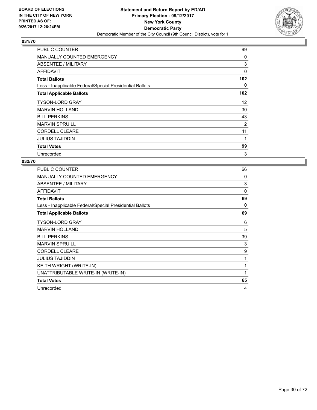

| PUBLIC COUNTER                                           | 99       |
|----------------------------------------------------------|----------|
| <b>MANUALLY COUNTED EMERGENCY</b>                        | 0        |
| ABSENTEE / MILITARY                                      | 3        |
| AFFIDAVIT                                                | $\Omega$ |
| <b>Total Ballots</b>                                     | 102      |
| Less - Inapplicable Federal/Special Presidential Ballots | 0        |
| <b>Total Applicable Ballots</b>                          | 102      |
| <b>TYSON-LORD GRAY</b>                                   | 12       |
| <b>MARVIN HOLLAND</b>                                    | 30       |
| <b>BILL PERKINS</b>                                      | 43       |
| <b>MARVIN SPRUILL</b>                                    | 2        |
| <b>CORDELL CLEARE</b>                                    | 11       |
| <b>JULIUS TAJIDDIN</b>                                   | 1        |
| <b>Total Votes</b>                                       | 99       |
| Unrecorded                                               | 3        |

| <b>PUBLIC COUNTER</b>                                    | 66       |
|----------------------------------------------------------|----------|
| <b>MANUALLY COUNTED EMERGENCY</b>                        | 0        |
| ABSENTEE / MILITARY                                      | 3        |
| <b>AFFIDAVIT</b>                                         | $\Omega$ |
| <b>Total Ballots</b>                                     | 69       |
| Less - Inapplicable Federal/Special Presidential Ballots | 0        |
| <b>Total Applicable Ballots</b>                          | 69       |
| <b>TYSON-LORD GRAY</b>                                   | 6        |
| <b>MARVIN HOLLAND</b>                                    | 5        |
| <b>BILL PERKINS</b>                                      | 39       |
| <b>MARVIN SPRUILL</b>                                    | 3        |
| <b>CORDELL CLEARE</b>                                    | 9        |
| <b>JULIUS TAJIDDIN</b>                                   | 1        |
| KEITH WRIGHT (WRITE-IN)                                  | 1        |
| UNATTRIBUTABLE WRITE-IN (WRITE-IN)                       | 1        |
| <b>Total Votes</b>                                       | 65       |
| Unrecorded                                               | 4        |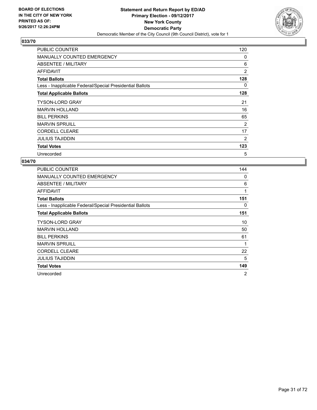

| <b>PUBLIC COUNTER</b>                                    | 120 |
|----------------------------------------------------------|-----|
| <b>MANUALLY COUNTED EMERGENCY</b>                        | 0   |
| ABSENTEE / MILITARY                                      | 6   |
| AFFIDAVIT                                                | 2   |
| <b>Total Ballots</b>                                     | 128 |
| Less - Inapplicable Federal/Special Presidential Ballots | 0   |
| <b>Total Applicable Ballots</b>                          | 128 |
| <b>TYSON-LORD GRAY</b>                                   | 21  |
| <b>MARVIN HOLLAND</b>                                    | 16  |
| <b>BILL PERKINS</b>                                      | 65  |
| <b>MARVIN SPRUILL</b>                                    | 2   |
| <b>CORDELL CLEARE</b>                                    | 17  |
| <b>JULIUS TAJIDDIN</b>                                   | 2   |
| <b>Total Votes</b>                                       | 123 |
| Unrecorded                                               | 5   |

| <b>PUBLIC COUNTER</b>                                    | 144            |
|----------------------------------------------------------|----------------|
| <b>MANUALLY COUNTED EMERGENCY</b>                        | 0              |
| <b>ABSENTEE / MILITARY</b>                               | 6              |
| AFFIDAVIT                                                | 1              |
| <b>Total Ballots</b>                                     | 151            |
| Less - Inapplicable Federal/Special Presidential Ballots | 0              |
| <b>Total Applicable Ballots</b>                          | 151            |
| <b>TYSON-LORD GRAY</b>                                   | 10             |
| <b>MARVIN HOLLAND</b>                                    | 50             |
| <b>BILL PERKINS</b>                                      | 61             |
| <b>MARVIN SPRUILL</b>                                    | 1              |
| <b>CORDELL CLEARE</b>                                    | 22             |
| JULIUS TAJIDDIN                                          | 5              |
| <b>Total Votes</b>                                       | 149            |
| Unrecorded                                               | $\overline{2}$ |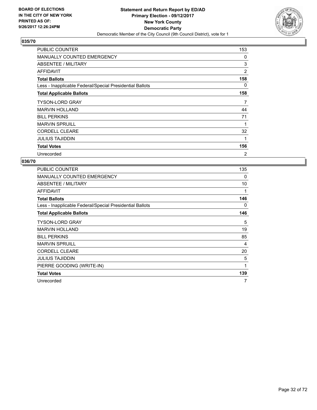

| PUBLIC COUNTER                                           | 153 |
|----------------------------------------------------------|-----|
| <b>MANUALLY COUNTED EMERGENCY</b>                        | 0   |
| ABSENTEE / MILITARY                                      | 3   |
| <b>AFFIDAVIT</b>                                         | 2   |
| <b>Total Ballots</b>                                     | 158 |
| Less - Inapplicable Federal/Special Presidential Ballots | 0   |
| <b>Total Applicable Ballots</b>                          | 158 |
| <b>TYSON-LORD GRAY</b>                                   | 7   |
| <b>MARVIN HOLLAND</b>                                    | 44  |
| <b>BILL PERKINS</b>                                      | 71  |
| <b>MARVIN SPRUILL</b>                                    | 1   |
| <b>CORDELL CLEARE</b>                                    | 32  |
| <b>JULIUS TAJIDDIN</b>                                   | 1   |
| <b>Total Votes</b>                                       | 156 |
| Unrecorded                                               | 2   |

| PUBLIC COUNTER                                           | 135 |
|----------------------------------------------------------|-----|
| <b>MANUALLY COUNTED EMERGENCY</b>                        | 0   |
| ABSENTEE / MILITARY                                      | 10  |
| AFFIDAVIT                                                | 1   |
| <b>Total Ballots</b>                                     | 146 |
| Less - Inapplicable Federal/Special Presidential Ballots | 0   |
| <b>Total Applicable Ballots</b>                          | 146 |
| <b>TYSON-LORD GRAY</b>                                   | 5   |
| <b>MARVIN HOLLAND</b>                                    | 19  |
| <b>BILL PERKINS</b>                                      | 85  |
| <b>MARVIN SPRUILL</b>                                    | 4   |
| <b>CORDELL CLEARE</b>                                    | 20  |
| <b>JULIUS TAJIDDIN</b>                                   | 5   |
| PIERRE GOODING (WRITE-IN)                                | 1   |
| <b>Total Votes</b>                                       | 139 |
| Unrecorded                                               | 7   |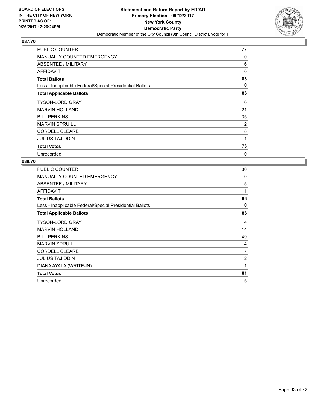

| <b>PUBLIC COUNTER</b>                                    | 77       |
|----------------------------------------------------------|----------|
| MANUALLY COUNTED EMERGENCY                               | 0        |
| ABSENTEE / MILITARY                                      | 6        |
| <b>AFFIDAVIT</b>                                         | $\Omega$ |
| <b>Total Ballots</b>                                     | 83       |
| Less - Inapplicable Federal/Special Presidential Ballots | 0        |
| <b>Total Applicable Ballots</b>                          | 83       |
| <b>TYSON-LORD GRAY</b>                                   | 6        |
| <b>MARVIN HOLLAND</b>                                    | 21       |
| <b>BILL PERKINS</b>                                      | 35       |
| <b>MARVIN SPRUILL</b>                                    | 2        |
| <b>CORDELL CLEARE</b>                                    | 8        |
| <b>JULIUS TAJIDDIN</b>                                   | 1        |
| <b>Total Votes</b>                                       | 73       |
| Unrecorded                                               | 10       |

| PUBLIC COUNTER                                           | 80       |
|----------------------------------------------------------|----------|
| <b>MANUALLY COUNTED EMERGENCY</b>                        | 0        |
| ABSENTEE / MILITARY                                      | 5        |
| AFFIDAVIT                                                | 1        |
| <b>Total Ballots</b>                                     | 86       |
| Less - Inapplicable Federal/Special Presidential Ballots | $\Omega$ |
| <b>Total Applicable Ballots</b>                          | 86       |
| <b>TYSON-LORD GRAY</b>                                   | 4        |
| <b>MARVIN HOLLAND</b>                                    | 14       |
| <b>BILL PERKINS</b>                                      | 49       |
| <b>MARVIN SPRUILL</b>                                    | 4        |
| <b>CORDELL CLEARE</b>                                    | 7        |
| <b>JULIUS TAJIDDIN</b>                                   | 2        |
| DIANA AYALA (WRITE-IN)                                   | 1        |
| <b>Total Votes</b>                                       | 81       |
| Unrecorded                                               | 5        |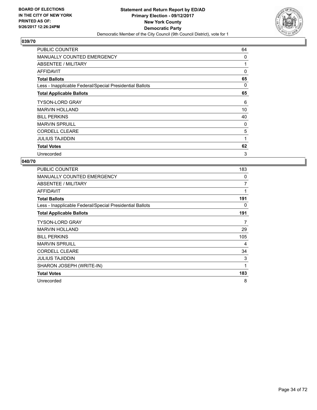

| <b>PUBLIC COUNTER</b>                                    | 64 |
|----------------------------------------------------------|----|
| <b>MANUALLY COUNTED EMERGENCY</b>                        | 0  |
| ABSENTEE / MILITARY                                      | 1  |
| AFFIDAVIT                                                | 0  |
| <b>Total Ballots</b>                                     | 65 |
| Less - Inapplicable Federal/Special Presidential Ballots | 0  |
| <b>Total Applicable Ballots</b>                          | 65 |
| <b>TYSON-LORD GRAY</b>                                   | 6  |
| <b>MARVIN HOLLAND</b>                                    | 10 |
| <b>BILL PERKINS</b>                                      | 40 |
| <b>MARVIN SPRUILL</b>                                    | 0  |
| <b>CORDELL CLEARE</b>                                    | 5  |
| <b>JULIUS TAJIDDIN</b>                                   | 1  |
| <b>Total Votes</b>                                       | 62 |
| Unrecorded                                               | 3  |

| <b>PUBLIC COUNTER</b>                                    | 183            |
|----------------------------------------------------------|----------------|
| <b>MANUALLY COUNTED EMERGENCY</b>                        | 0              |
| ABSENTEE / MILITARY                                      | $\overline{7}$ |
| AFFIDAVIT                                                | 1              |
| <b>Total Ballots</b>                                     | 191            |
| Less - Inapplicable Federal/Special Presidential Ballots | 0              |
| <b>Total Applicable Ballots</b>                          | 191            |
| <b>TYSON-LORD GRAY</b>                                   | 7              |
| <b>MARVIN HOLLAND</b>                                    | 29             |
| <b>BILL PERKINS</b>                                      | 105            |
| <b>MARVIN SPRUILL</b>                                    | 4              |
| <b>CORDELL CLEARE</b>                                    | 34             |
| <b>JULIUS TAJIDDIN</b>                                   | 3              |
| SHARON JOSEPH (WRITE-IN)                                 | 1              |
| <b>Total Votes</b>                                       | 183            |
| Unrecorded                                               | 8              |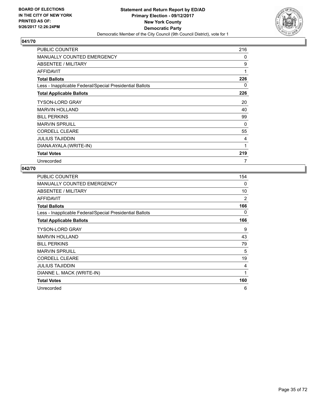

| PUBLIC COUNTER                                           | 216 |
|----------------------------------------------------------|-----|
| <b>MANUALLY COUNTED EMERGENCY</b>                        | 0   |
| ABSENTEE / MILITARY                                      | 9   |
| AFFIDAVIT                                                | 1   |
| <b>Total Ballots</b>                                     | 226 |
| Less - Inapplicable Federal/Special Presidential Ballots | 0   |
| <b>Total Applicable Ballots</b>                          | 226 |
| <b>TYSON-LORD GRAY</b>                                   | 20  |
| <b>MARVIN HOLLAND</b>                                    | 40  |
| <b>BILL PERKINS</b>                                      | 99  |
| <b>MARVIN SPRUILL</b>                                    | 0   |
| <b>CORDELL CLEARE</b>                                    | 55  |
| JULIUS TAJIDDIN                                          | 4   |
| DIANA AYALA (WRITE-IN)                                   | 1   |
| <b>Total Votes</b>                                       | 219 |
| Unrecorded                                               | 7   |

| <b>PUBLIC COUNTER</b>                                    | 154          |
|----------------------------------------------------------|--------------|
| <b>MANUALLY COUNTED EMERGENCY</b>                        | 0            |
| ABSENTEE / MILITARY                                      | 10           |
| <b>AFFIDAVIT</b>                                         | 2            |
| <b>Total Ballots</b>                                     | 166          |
| Less - Inapplicable Federal/Special Presidential Ballots | 0            |
| <b>Total Applicable Ballots</b>                          | 166          |
| <b>TYSON-LORD GRAY</b>                                   | 9            |
| <b>MARVIN HOLLAND</b>                                    | 43           |
| <b>BILL PERKINS</b>                                      | 79           |
| <b>MARVIN SPRUILL</b>                                    | 5            |
| <b>CORDELL CLEARE</b>                                    | 19           |
| <b>JULIUS TAJIDDIN</b>                                   | 4            |
| DIANNE L. MACK (WRITE-IN)                                | $\mathbf{1}$ |
| <b>Total Votes</b>                                       | 160          |
| Unrecorded                                               | 6            |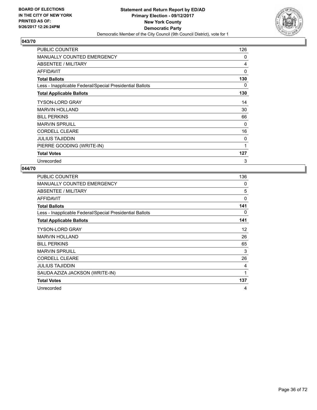

| <b>PUBLIC COUNTER</b>                                    | 126 |
|----------------------------------------------------------|-----|
| <b>MANUALLY COUNTED EMERGENCY</b>                        | 0   |
| ABSENTEE / MILITARY                                      | 4   |
| AFFIDAVIT                                                | 0   |
| <b>Total Ballots</b>                                     | 130 |
| Less - Inapplicable Federal/Special Presidential Ballots | 0   |
| <b>Total Applicable Ballots</b>                          | 130 |
| <b>TYSON-LORD GRAY</b>                                   | 14  |
| <b>MARVIN HOLLAND</b>                                    | 30  |
| <b>BILL PERKINS</b>                                      | 66  |
| <b>MARVIN SPRUILL</b>                                    | 0   |
| <b>CORDELL CLEARE</b>                                    | 16  |
| <b>JULIUS TAJIDDIN</b>                                   | 0   |
| PIERRE GOODING (WRITE-IN)                                | 1   |
| <b>Total Votes</b>                                       | 127 |
| Unrecorded                                               | 3   |

| <b>PUBLIC COUNTER</b>                                    | 136 |
|----------------------------------------------------------|-----|
| <b>MANUALLY COUNTED EMERGENCY</b>                        | 0   |
| ABSENTEE / MILITARY                                      | 5   |
| <b>AFFIDAVIT</b>                                         | 0   |
| <b>Total Ballots</b>                                     | 141 |
| Less - Inapplicable Federal/Special Presidential Ballots | 0   |
| <b>Total Applicable Ballots</b>                          | 141 |
| <b>TYSON-LORD GRAY</b>                                   | 12  |
| <b>MARVIN HOLLAND</b>                                    | 26  |
| <b>BILL PERKINS</b>                                      | 65  |
| <b>MARVIN SPRUILL</b>                                    | 3   |
| <b>CORDELL CLEARE</b>                                    | 26  |
| <b>JULIUS TAJIDDIN</b>                                   | 4   |
| SAUDA AZIZA JACKSON (WRITE-IN)                           | 1   |
| <b>Total Votes</b>                                       | 137 |
| Unrecorded                                               | 4   |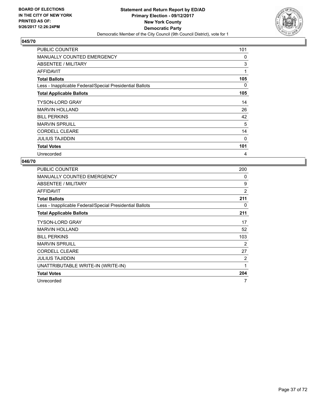

| <b>PUBLIC COUNTER</b>                                    | 101 |
|----------------------------------------------------------|-----|
| <b>MANUALLY COUNTED EMERGENCY</b>                        | 0   |
| ABSENTEE / MILITARY                                      | 3   |
| AFFIDAVIT                                                | 1   |
| <b>Total Ballots</b>                                     | 105 |
| Less - Inapplicable Federal/Special Presidential Ballots | 0   |
| <b>Total Applicable Ballots</b>                          | 105 |
| <b>TYSON-LORD GRAY</b>                                   | 14  |
| <b>MARVIN HOLLAND</b>                                    | 26  |
| <b>BILL PERKINS</b>                                      | 42  |
| <b>MARVIN SPRUILL</b>                                    | 5   |
| <b>CORDELL CLEARE</b>                                    | 14  |
| <b>JULIUS TAJIDDIN</b>                                   | 0   |
| <b>Total Votes</b>                                       | 101 |
| Unrecorded                                               | 4   |

| PUBLIC COUNTER                                           | 200 |
|----------------------------------------------------------|-----|
| <b>MANUALLY COUNTED EMERGENCY</b>                        | 0   |
| ABSENTEE / MILITARY                                      | 9   |
| AFFIDAVIT                                                | 2   |
| <b>Total Ballots</b>                                     | 211 |
| Less - Inapplicable Federal/Special Presidential Ballots | 0   |
| <b>Total Applicable Ballots</b>                          | 211 |
| <b>TYSON-LORD GRAY</b>                                   | 17  |
| <b>MARVIN HOLLAND</b>                                    | 52  |
| <b>BILL PERKINS</b>                                      | 103 |
| <b>MARVIN SPRUILL</b>                                    | 2   |
| <b>CORDELL CLEARE</b>                                    | 27  |
| <b>JULIUS TAJIDDIN</b>                                   | 2   |
| UNATTRIBUTABLE WRITE-IN (WRITE-IN)                       | 1   |
| <b>Total Votes</b>                                       | 204 |
| Unrecorded                                               | 7   |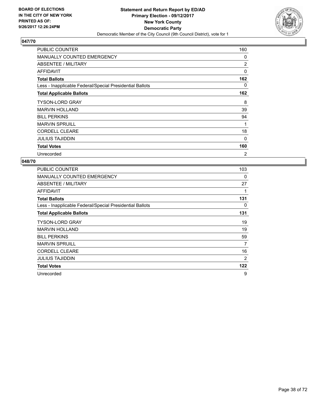

| PUBLIC COUNTER                                           | 160      |
|----------------------------------------------------------|----------|
| <b>MANUALLY COUNTED EMERGENCY</b>                        | 0        |
| ABSENTEE / MILITARY                                      | 2        |
| <b>AFFIDAVIT</b>                                         | $\Omega$ |
| <b>Total Ballots</b>                                     | 162      |
| Less - Inapplicable Federal/Special Presidential Ballots | 0        |
| <b>Total Applicable Ballots</b>                          | 162      |
| <b>TYSON-LORD GRAY</b>                                   | 8        |
| <b>MARVIN HOLLAND</b>                                    | 39       |
| <b>BILL PERKINS</b>                                      | 94       |
| <b>MARVIN SPRUILL</b>                                    | 1        |
| <b>CORDELL CLEARE</b>                                    | 18       |
| <b>JULIUS TAJIDDIN</b>                                   | 0        |
| <b>Total Votes</b>                                       | 160      |
| Unrecorded                                               | 2        |

| <b>PUBLIC COUNTER</b>                                    | 103 |
|----------------------------------------------------------|-----|
| <b>MANUALLY COUNTED EMERGENCY</b>                        | 0   |
| ABSENTEE / MILITARY                                      | 27  |
| AFFIDAVIT                                                | 1   |
| <b>Total Ballots</b>                                     | 131 |
| Less - Inapplicable Federal/Special Presidential Ballots | 0   |
| <b>Total Applicable Ballots</b>                          | 131 |
| <b>TYSON-LORD GRAY</b>                                   | 19  |
| <b>MARVIN HOLLAND</b>                                    | 19  |
| <b>BILL PERKINS</b>                                      | 59  |
| <b>MARVIN SPRUILL</b>                                    | 7   |
| <b>CORDELL CLEARE</b>                                    | 16  |
| JULIUS TAJIDDIN                                          | 2   |
| <b>Total Votes</b>                                       | 122 |
| Unrecorded                                               | 9   |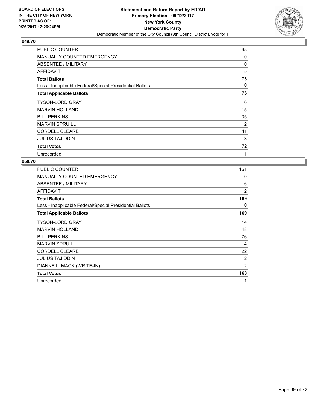

| PUBLIC COUNTER                                           | 68 |
|----------------------------------------------------------|----|
| <b>MANUALLY COUNTED EMERGENCY</b>                        | 0  |
| ABSENTEE / MILITARY                                      | 0  |
| AFFIDAVIT                                                | 5  |
| <b>Total Ballots</b>                                     | 73 |
| Less - Inapplicable Federal/Special Presidential Ballots | 0  |
| <b>Total Applicable Ballots</b>                          | 73 |
| <b>TYSON-LORD GRAY</b>                                   | 6  |
| <b>MARVIN HOLLAND</b>                                    | 15 |
| <b>BILL PERKINS</b>                                      | 35 |
| <b>MARVIN SPRUILL</b>                                    | 2  |
| <b>CORDELL CLEARE</b>                                    | 11 |
| <b>JULIUS TAJIDDIN</b>                                   | 3  |
| <b>Total Votes</b>                                       | 72 |
| Unrecorded                                               | 1  |

| PUBLIC COUNTER                                           | 161            |
|----------------------------------------------------------|----------------|
| MANUALLY COUNTED EMERGENCY                               | 0              |
| ABSENTEE / MILITARY                                      | 6              |
| AFFIDAVIT                                                | $\overline{2}$ |
| <b>Total Ballots</b>                                     | 169            |
| Less - Inapplicable Federal/Special Presidential Ballots | 0              |
| <b>Total Applicable Ballots</b>                          | 169            |
| <b>TYSON-LORD GRAY</b>                                   | 14             |
| <b>MARVIN HOLLAND</b>                                    | 48             |
| <b>BILL PERKINS</b>                                      | 76             |
| <b>MARVIN SPRUILL</b>                                    | 4              |
| <b>CORDELL CLEARE</b>                                    | 22             |
| <b>JULIUS TAJIDDIN</b>                                   | 2              |
| DIANNE L. MACK (WRITE-IN)                                | 2              |
| <b>Total Votes</b>                                       | 168            |
| Unrecorded                                               | 1              |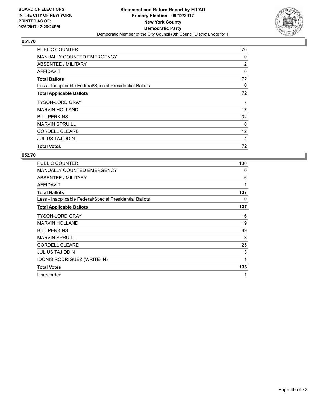

| <b>PUBLIC COUNTER</b>                                    | 70             |
|----------------------------------------------------------|----------------|
| <b>MANUALLY COUNTED EMERGENCY</b>                        | 0              |
| <b>ABSENTEE / MILITARY</b>                               | $\overline{2}$ |
| AFFIDAVIT                                                | 0              |
| <b>Total Ballots</b>                                     | 72             |
| Less - Inapplicable Federal/Special Presidential Ballots | 0              |
| <b>Total Applicable Ballots</b>                          | 72             |
| <b>TYSON-LORD GRAY</b>                                   | 7              |
|                                                          |                |
| <b>MARVIN HOLLAND</b>                                    | 17             |
| <b>BILL PERKINS</b>                                      | 32             |
| <b>MARVIN SPRUILL</b>                                    | 0              |
| <b>CORDELL CLEARE</b>                                    | 12             |
| <b>JULIUS TAJIDDIN</b>                                   | 4              |

| <b>PUBLIC COUNTER</b>                                    | 130 |
|----------------------------------------------------------|-----|
| <b>MANUALLY COUNTED EMERGENCY</b>                        | 0   |
| <b>ABSENTEE / MILITARY</b>                               | 6   |
| AFFIDAVIT                                                | 1   |
| <b>Total Ballots</b>                                     | 137 |
| Less - Inapplicable Federal/Special Presidential Ballots | 0   |
| <b>Total Applicable Ballots</b>                          | 137 |
| <b>TYSON-LORD GRAY</b>                                   | 16  |
| <b>MARVIN HOLLAND</b>                                    | 19  |
| <b>BILL PERKINS</b>                                      | 69  |
| <b>MARVIN SPRUILL</b>                                    | 3   |
| <b>CORDELL CLEARE</b>                                    | 25  |
| JULIUS TAJIDDIN                                          | 3   |
| <b>IDONIS RODRIGUEZ (WRITE-IN)</b>                       | 1   |
| <b>Total Votes</b>                                       | 136 |
| Unrecorded                                               | 1   |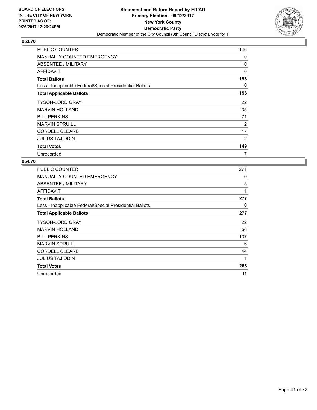

| <b>PUBLIC COUNTER</b>                                    | 146 |
|----------------------------------------------------------|-----|
| <b>MANUALLY COUNTED EMERGENCY</b>                        | 0   |
| ABSENTEE / MILITARY                                      | 10  |
| AFFIDAVIT                                                | 0   |
| <b>Total Ballots</b>                                     | 156 |
| Less - Inapplicable Federal/Special Presidential Ballots | 0   |
| <b>Total Applicable Ballots</b>                          | 156 |
| <b>TYSON-LORD GRAY</b>                                   | 22  |
| <b>MARVIN HOLLAND</b>                                    | 35  |
| <b>BILL PERKINS</b>                                      | 71  |
| <b>MARVIN SPRUILL</b>                                    | 2   |
| <b>CORDELL CLEARE</b>                                    | 17  |
| <b>JULIUS TAJIDDIN</b>                                   | 2   |
| <b>Total Votes</b>                                       | 149 |
| Unrecorded                                               | 7   |

| PUBLIC COUNTER                                           | 271 |
|----------------------------------------------------------|-----|
| <b>MANUALLY COUNTED EMERGENCY</b>                        | 0   |
| ABSENTEE / MILITARY                                      | 5   |
| AFFIDAVIT                                                | 1   |
| <b>Total Ballots</b>                                     | 277 |
| Less - Inapplicable Federal/Special Presidential Ballots | 0   |
| <b>Total Applicable Ballots</b>                          | 277 |
| <b>TYSON-LORD GRAY</b>                                   | 22  |
| <b>MARVIN HOLLAND</b>                                    | 56  |
| <b>BILL PERKINS</b>                                      | 137 |
| <b>MARVIN SPRUILL</b>                                    | 6   |
| <b>CORDELL CLEARE</b>                                    | 44  |
| JULIUS TAJIDDIN                                          | 1   |
| <b>Total Votes</b>                                       | 266 |
| Unrecorded                                               | 11  |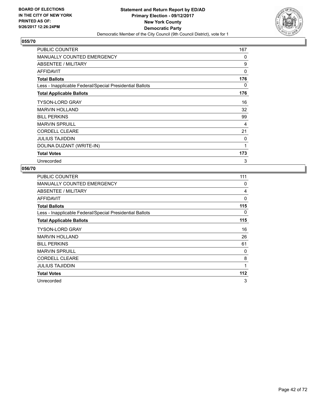

| <b>PUBLIC COUNTER</b>                                    | 167 |
|----------------------------------------------------------|-----|
| <b>MANUALLY COUNTED EMERGENCY</b>                        | 0   |
| ABSENTEE / MILITARY                                      | 9   |
| AFFIDAVIT                                                | 0   |
| <b>Total Ballots</b>                                     | 176 |
| Less - Inapplicable Federal/Special Presidential Ballots | 0   |
| <b>Total Applicable Ballots</b>                          | 176 |
| <b>TYSON-LORD GRAY</b>                                   | 16  |
| <b>MARVIN HOLLAND</b>                                    | 32  |
| <b>BILL PERKINS</b>                                      | 99  |
| <b>MARVIN SPRUILL</b>                                    | 4   |
| <b>CORDELL CLEARE</b>                                    | 21  |
| <b>JULIUS TAJIDDIN</b>                                   | 0   |
| DOLINA DUZANT (WRITE-IN)                                 | 1   |
| <b>Total Votes</b>                                       | 173 |
| Unrecorded                                               | 3   |

| <b>PUBLIC COUNTER</b>                                    | 111 |
|----------------------------------------------------------|-----|
| <b>MANUALLY COUNTED EMERGENCY</b>                        | 0   |
| ABSENTEE / MILITARY                                      | 4   |
| AFFIDAVIT                                                | 0   |
| <b>Total Ballots</b>                                     | 115 |
| Less - Inapplicable Federal/Special Presidential Ballots | 0   |
| <b>Total Applicable Ballots</b>                          | 115 |
| <b>TYSON-LORD GRAY</b>                                   | 16  |
| <b>MARVIN HOLLAND</b>                                    | 26  |
| <b>BILL PERKINS</b>                                      | 61  |
| <b>MARVIN SPRUILL</b>                                    | 0   |
| <b>CORDELL CLEARE</b>                                    | 8   |
| <b>JULIUS TAJIDDIN</b>                                   | 1   |
| <b>Total Votes</b>                                       | 112 |
| Unrecorded                                               | 3   |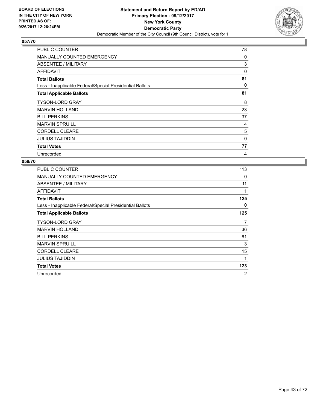

| <b>PUBLIC COUNTER</b>                                    | 78       |
|----------------------------------------------------------|----------|
| <b>MANUALLY COUNTED EMERGENCY</b>                        | 0        |
| ABSENTEE / MILITARY                                      | 3        |
| <b>AFFIDAVIT</b>                                         | $\Omega$ |
| <b>Total Ballots</b>                                     | 81       |
| Less - Inapplicable Federal/Special Presidential Ballots | 0        |
| <b>Total Applicable Ballots</b>                          | 81       |
| <b>TYSON-LORD GRAY</b>                                   | 8        |
| <b>MARVIN HOLLAND</b>                                    | 23       |
| <b>BILL PERKINS</b>                                      | 37       |
| <b>MARVIN SPRUILL</b>                                    | 4        |
| <b>CORDELL CLEARE</b>                                    | 5        |
| <b>JULIUS TAJIDDIN</b>                                   | 0        |
| <b>Total Votes</b>                                       | 77       |
| Unrecorded                                               | 4        |

| <b>PUBLIC COUNTER</b>                                    | 113            |
|----------------------------------------------------------|----------------|
| <b>MANUALLY COUNTED EMERGENCY</b>                        | 0              |
| <b>ABSENTEE / MILITARY</b>                               | 11             |
| AFFIDAVIT                                                | 1              |
| <b>Total Ballots</b>                                     | 125            |
| Less - Inapplicable Federal/Special Presidential Ballots | 0              |
| <b>Total Applicable Ballots</b>                          | 125            |
| <b>TYSON-LORD GRAY</b>                                   | 7              |
| <b>MARVIN HOLLAND</b>                                    | 36             |
| <b>BILL PERKINS</b>                                      | 61             |
| <b>MARVIN SPRUILL</b>                                    | 3              |
| <b>CORDELL CLEARE</b>                                    | 15             |
| JULIUS TAJIDDIN                                          | 1              |
| <b>Total Votes</b>                                       | 123            |
| Unrecorded                                               | $\overline{2}$ |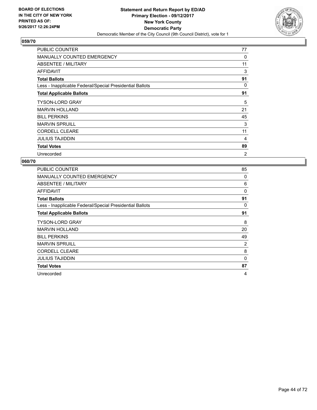

| <b>PUBLIC COUNTER</b>                                    | 77             |
|----------------------------------------------------------|----------------|
| <b>MANUALLY COUNTED EMERGENCY</b>                        | 0              |
| ABSENTEE / MILITARY                                      | 11             |
| AFFIDAVIT                                                | 3              |
| <b>Total Ballots</b>                                     | 91             |
| Less - Inapplicable Federal/Special Presidential Ballots | 0              |
| <b>Total Applicable Ballots</b>                          | 91             |
| <b>TYSON-LORD GRAY</b>                                   | 5              |
| <b>MARVIN HOLLAND</b>                                    | 21             |
| <b>BILL PERKINS</b>                                      | 45             |
| <b>MARVIN SPRUILL</b>                                    | 3              |
| <b>CORDELL CLEARE</b>                                    | 11             |
| <b>JULIUS TAJIDDIN</b>                                   | 4              |
| <b>Total Votes</b>                                       | 89             |
| Unrecorded                                               | $\overline{2}$ |

| <b>PUBLIC COUNTER</b>                                    | 85 |
|----------------------------------------------------------|----|
| <b>MANUALLY COUNTED EMERGENCY</b>                        | 0  |
| ABSENTEE / MILITARY                                      | 6  |
| AFFIDAVIT                                                | 0  |
| <b>Total Ballots</b>                                     | 91 |
| Less - Inapplicable Federal/Special Presidential Ballots | 0  |
| <b>Total Applicable Ballots</b>                          | 91 |
| <b>TYSON-LORD GRAY</b>                                   | 8  |
| <b>MARVIN HOLLAND</b>                                    | 20 |
| <b>BILL PERKINS</b>                                      | 49 |
| <b>MARVIN SPRUILL</b>                                    | 2  |
| <b>CORDELL CLEARE</b>                                    | 8  |
| <b>JULIUS TAJIDDIN</b>                                   | 0  |
| <b>Total Votes</b>                                       | 87 |
| Unrecorded                                               | 4  |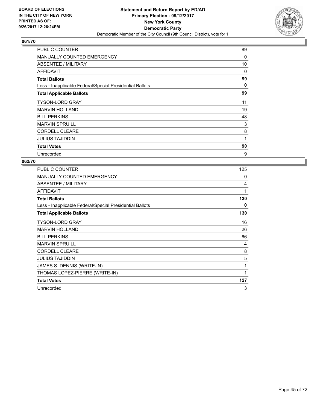

| <b>PUBLIC COUNTER</b>                                    | 89 |
|----------------------------------------------------------|----|
| <b>MANUALLY COUNTED EMERGENCY</b>                        | 0  |
| ABSENTEE / MILITARY                                      | 10 |
| <b>AFFIDAVIT</b>                                         | 0  |
| <b>Total Ballots</b>                                     | 99 |
| Less - Inapplicable Federal/Special Presidential Ballots | 0  |
| <b>Total Applicable Ballots</b>                          | 99 |
| <b>TYSON-LORD GRAY</b>                                   | 11 |
| <b>MARVIN HOLLAND</b>                                    | 19 |
| <b>BILL PERKINS</b>                                      | 48 |
| <b>MARVIN SPRUILL</b>                                    | 3  |
| <b>CORDELL CLEARE</b>                                    | 8  |
| <b>JULIUS TAJIDDIN</b>                                   | 1  |
| <b>Total Votes</b>                                       | 90 |
| Unrecorded                                               | 9  |

| PUBLIC COUNTER                                           | 125 |
|----------------------------------------------------------|-----|
| <b>MANUALLY COUNTED EMERGENCY</b>                        | 0   |
| ABSENTEE / MILITARY                                      | 4   |
| <b>AFFIDAVIT</b>                                         | 1   |
| <b>Total Ballots</b>                                     | 130 |
| Less - Inapplicable Federal/Special Presidential Ballots | 0   |
| <b>Total Applicable Ballots</b>                          | 130 |
| <b>TYSON-LORD GRAY</b>                                   | 16  |
| <b>MARVIN HOLLAND</b>                                    | 26  |
| <b>BILL PERKINS</b>                                      | 66  |
| <b>MARVIN SPRUILL</b>                                    | 4   |
| <b>CORDELL CLEARE</b>                                    | 8   |
| <b>JULIUS TAJIDDIN</b>                                   | 5   |
| JAMES S. DENNIS (WRITE-IN)                               | 1   |
| THOMAS LOPEZ-PIERRE (WRITE-IN)                           | 1   |
| <b>Total Votes</b>                                       | 127 |
| Unrecorded                                               | 3   |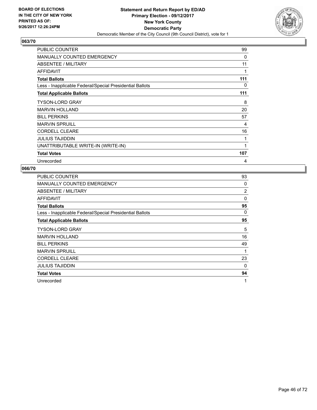

| <b>PUBLIC COUNTER</b>                                    | 99  |
|----------------------------------------------------------|-----|
| <b>MANUALLY COUNTED EMERGENCY</b>                        | 0   |
| ABSENTEE / MILITARY                                      | 11  |
| AFFIDAVIT                                                |     |
| <b>Total Ballots</b>                                     | 111 |
| Less - Inapplicable Federal/Special Presidential Ballots | 0   |
| <b>Total Applicable Ballots</b>                          | 111 |
| <b>TYSON-LORD GRAY</b>                                   | 8   |
| <b>MARVIN HOLLAND</b>                                    | 20  |
| <b>BILL PERKINS</b>                                      | 57  |
| <b>MARVIN SPRUILL</b>                                    | 4   |
| <b>CORDELL CLEARE</b>                                    | 16  |
| <b>JULIUS TAJIDDIN</b>                                   | 1   |
| UNATTRIBUTABLE WRITE-IN (WRITE-IN)                       | 1   |
| <b>Total Votes</b>                                       | 107 |
| Unrecorded                                               | 4   |

| <b>PUBLIC COUNTER</b>                                    | 93          |
|----------------------------------------------------------|-------------|
| <b>MANUALLY COUNTED EMERGENCY</b>                        | 0           |
| ABSENTEE / MILITARY                                      | 2           |
| AFFIDAVIT                                                | 0           |
| <b>Total Ballots</b>                                     | 95          |
| Less - Inapplicable Federal/Special Presidential Ballots | 0           |
| <b>Total Applicable Ballots</b>                          | 95          |
| <b>TYSON-LORD GRAY</b>                                   | 5           |
| <b>MARVIN HOLLAND</b>                                    | 16          |
| <b>BILL PERKINS</b>                                      | 49          |
| <b>MARVIN SPRUILL</b>                                    | $\mathbf 1$ |
| <b>CORDELL CLEARE</b>                                    | 23          |
| <b>JULIUS TAJIDDIN</b>                                   | 0           |
| <b>Total Votes</b>                                       | 94          |
| Unrecorded                                               | 1           |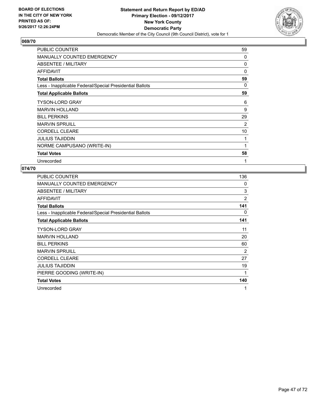

| PUBLIC COUNTER                                           | 59       |
|----------------------------------------------------------|----------|
| <b>MANUALLY COUNTED EMERGENCY</b>                        | 0        |
| ABSENTEE / MILITARY                                      | 0        |
| <b>AFFIDAVIT</b>                                         | $\Omega$ |
| <b>Total Ballots</b>                                     | 59       |
| Less - Inapplicable Federal/Special Presidential Ballots | 0        |
| <b>Total Applicable Ballots</b>                          | 59       |
| <b>TYSON-LORD GRAY</b>                                   | 6        |
| <b>MARVIN HOLLAND</b>                                    | 9        |
| <b>BILL PERKINS</b>                                      | 29       |
| <b>MARVIN SPRUILL</b>                                    | 2        |
| <b>CORDELL CLEARE</b>                                    | 10       |
| <b>JULIUS TAJIDDIN</b>                                   | 1        |
| NORME CAMPUSANO (WRITE-IN)                               | 1        |
| <b>Total Votes</b>                                       | 58       |
| Unrecorded                                               | 1        |

| <b>PUBLIC COUNTER</b>                                    | 136            |
|----------------------------------------------------------|----------------|
| <b>MANUALLY COUNTED EMERGENCY</b>                        | 0              |
| ABSENTEE / MILITARY                                      | 3              |
| AFFIDAVIT                                                | $\overline{2}$ |
| <b>Total Ballots</b>                                     | 141            |
| Less - Inapplicable Federal/Special Presidential Ballots | 0              |
| <b>Total Applicable Ballots</b>                          | 141            |
| <b>TYSON-LORD GRAY</b>                                   | 11             |
| <b>MARVIN HOLLAND</b>                                    | 20             |
| <b>BILL PERKINS</b>                                      | 60             |
| <b>MARVIN SPRUILL</b>                                    | $\overline{2}$ |
| <b>CORDELL CLEARE</b>                                    | 27             |
| <b>JULIUS TAJIDDIN</b>                                   | 19             |
| PIERRE GOODING (WRITE-IN)                                | 1              |
| <b>Total Votes</b>                                       | 140            |
| Unrecorded                                               | 1              |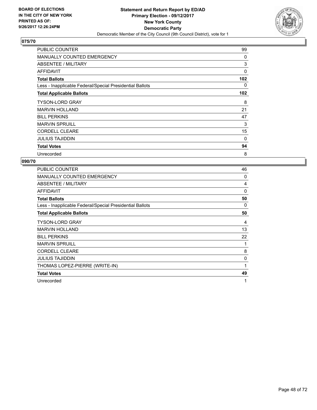

| <b>PUBLIC COUNTER</b>                                    | 99       |
|----------------------------------------------------------|----------|
| <b>MANUALLY COUNTED EMERGENCY</b>                        | 0        |
| ABSENTEE / MILITARY                                      | 3        |
| <b>AFFIDAVIT</b>                                         | $\Omega$ |
| <b>Total Ballots</b>                                     | 102      |
| Less - Inapplicable Federal/Special Presidential Ballots | 0        |
| <b>Total Applicable Ballots</b>                          | 102      |
| <b>TYSON-LORD GRAY</b>                                   | 8        |
| <b>MARVIN HOLLAND</b>                                    | 21       |
| <b>BILL PERKINS</b>                                      | 47       |
| <b>MARVIN SPRUILL</b>                                    | 3        |
| <b>CORDELL CLEARE</b>                                    | 15       |
| <b>JULIUS TAJIDDIN</b>                                   | 0        |
| <b>Total Votes</b>                                       | 94       |
| Unrecorded                                               | 8        |

| PUBLIC COUNTER                                           | 46 |
|----------------------------------------------------------|----|
| <b>MANUALLY COUNTED EMERGENCY</b>                        | 0  |
| ABSENTEE / MILITARY                                      | 4  |
| AFFIDAVIT                                                | 0  |
| <b>Total Ballots</b>                                     | 50 |
| Less - Inapplicable Federal/Special Presidential Ballots | 0  |
| <b>Total Applicable Ballots</b>                          | 50 |
| TYSON-LORD GRAY                                          | 4  |
| <b>MARVIN HOLLAND</b>                                    | 13 |
| <b>BILL PERKINS</b>                                      | 22 |
| <b>MARVIN SPRUILL</b>                                    | 1  |
| <b>CORDELL CLEARE</b>                                    | 8  |
| <b>JULIUS TAJIDDIN</b>                                   | 0  |
| THOMAS LOPEZ-PIERRE (WRITE-IN)                           | 1  |
| <b>Total Votes</b>                                       | 49 |
| Unrecorded                                               | 1  |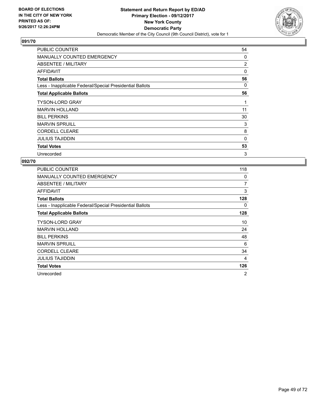

| PUBLIC COUNTER                                           | 54             |
|----------------------------------------------------------|----------------|
| <b>MANUALLY COUNTED EMERGENCY</b>                        | 0              |
| ABSENTEE / MILITARY                                      | $\overline{2}$ |
| AFFIDAVIT                                                | 0              |
| <b>Total Ballots</b>                                     | 56             |
| Less - Inapplicable Federal/Special Presidential Ballots | 0              |
| <b>Total Applicable Ballots</b>                          | 56             |
| <b>TYSON-LORD GRAY</b>                                   | 1              |
| <b>MARVIN HOLLAND</b>                                    | 11             |
| <b>BILL PERKINS</b>                                      | 30             |
| <b>MARVIN SPRUILL</b>                                    | 3              |
| <b>CORDELL CLEARE</b>                                    | 8              |
| <b>JULIUS TAJIDDIN</b>                                   | $\Omega$       |
| <b>Total Votes</b>                                       | 53             |
| Unrecorded                                               | 3              |

| <b>PUBLIC COUNTER</b>                                    | 118            |
|----------------------------------------------------------|----------------|
| <b>MANUALLY COUNTED EMERGENCY</b>                        | 0              |
| <b>ABSENTEE / MILITARY</b>                               | 7              |
| AFFIDAVIT                                                | 3              |
| <b>Total Ballots</b>                                     | 128            |
| Less - Inapplicable Federal/Special Presidential Ballots | 0              |
| <b>Total Applicable Ballots</b>                          | 128            |
| <b>TYSON-LORD GRAY</b>                                   | 10             |
| <b>MARVIN HOLLAND</b>                                    | 24             |
| <b>BILL PERKINS</b>                                      | 48             |
| <b>MARVIN SPRUILL</b>                                    | 6              |
| <b>CORDELL CLEARE</b>                                    | 34             |
| JULIUS TAJIDDIN                                          | 4              |
| <b>Total Votes</b>                                       | 126            |
| Unrecorded                                               | $\overline{2}$ |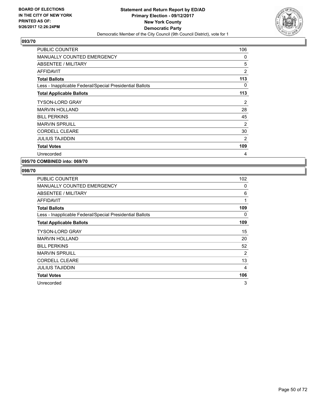

| <b>PUBLIC COUNTER</b>                                    | 106 |
|----------------------------------------------------------|-----|
| <b>MANUALLY COUNTED EMERGENCY</b>                        | 0   |
| <b>ABSENTEE / MILITARY</b>                               | 5   |
| <b>AFFIDAVIT</b>                                         | 2   |
| <b>Total Ballots</b>                                     | 113 |
| Less - Inapplicable Federal/Special Presidential Ballots | 0   |
| <b>Total Applicable Ballots</b>                          | 113 |
| <b>TYSON-LORD GRAY</b>                                   | 2   |
| <b>MARVIN HOLLAND</b>                                    | 28  |
| <b>BILL PERKINS</b>                                      | 45  |
| <b>MARVIN SPRUILL</b>                                    | 2   |
| <b>CORDELL CLEARE</b>                                    | 30  |
| <b>JULIUS TAJIDDIN</b>                                   | 2   |
| <b>Total Votes</b>                                       | 109 |
| Unrecorded                                               | 4   |
|                                                          |     |

**095/70 COMBINED into: 069/70**

| <b>PUBLIC COUNTER</b>                                    | 102 |
|----------------------------------------------------------|-----|
| <b>MANUALLY COUNTED EMERGENCY</b>                        | 0   |
| ABSENTEE / MILITARY                                      | 6   |
| <b>AFFIDAVIT</b>                                         | 1   |
| <b>Total Ballots</b>                                     | 109 |
| Less - Inapplicable Federal/Special Presidential Ballots | 0   |
| <b>Total Applicable Ballots</b>                          | 109 |
| <b>TYSON-LORD GRAY</b>                                   | 15  |
| <b>MARVIN HOLLAND</b>                                    | 20  |
| <b>BILL PERKINS</b>                                      | 52  |
| <b>MARVIN SPRUILL</b>                                    | 2   |
| <b>CORDELL CLEARE</b>                                    | 13  |
| <b>JULIUS TAJIDDIN</b>                                   | 4   |
| <b>Total Votes</b>                                       | 106 |
| Unrecorded                                               | 3   |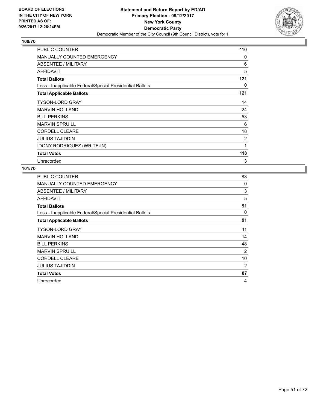

| PUBLIC COUNTER                                           | 110 |
|----------------------------------------------------------|-----|
| <b>MANUALLY COUNTED EMERGENCY</b>                        | 0   |
| ABSENTEE / MILITARY                                      | 6   |
| <b>AFFIDAVIT</b>                                         | 5   |
| <b>Total Ballots</b>                                     | 121 |
| Less - Inapplicable Federal/Special Presidential Ballots | 0   |
| <b>Total Applicable Ballots</b>                          | 121 |
| <b>TYSON-LORD GRAY</b>                                   | 14  |
| <b>MARVIN HOLLAND</b>                                    | 24  |
| <b>BILL PERKINS</b>                                      | 53  |
| <b>MARVIN SPRUILL</b>                                    | 6   |
| <b>CORDELL CLEARE</b>                                    | 18  |
| <b>JULIUS TAJIDDIN</b>                                   | 2   |
| IDONY RODRIQUEZ (WRITE-IN)                               | 1   |
| <b>Total Votes</b>                                       | 118 |
| Unrecorded                                               | 3   |

| PUBLIC COUNTER                                           | 83 |
|----------------------------------------------------------|----|
| MANUALLY COUNTED EMERGENCY                               | 0  |
| ABSENTEE / MILITARY                                      | 3  |
| <b>AFFIDAVIT</b>                                         | 5  |
| <b>Total Ballots</b>                                     | 91 |
| Less - Inapplicable Federal/Special Presidential Ballots | 0  |
| <b>Total Applicable Ballots</b>                          | 91 |
| <b>TYSON-LORD GRAY</b>                                   | 11 |
| <b>MARVIN HOLLAND</b>                                    | 14 |
| <b>BILL PERKINS</b>                                      | 48 |
| <b>MARVIN SPRUILL</b>                                    | 2  |
| <b>CORDELL CLEARE</b>                                    | 10 |
| <b>JULIUS TAJIDDIN</b>                                   | 2  |
| <b>Total Votes</b>                                       | 87 |
| Unrecorded                                               | 4  |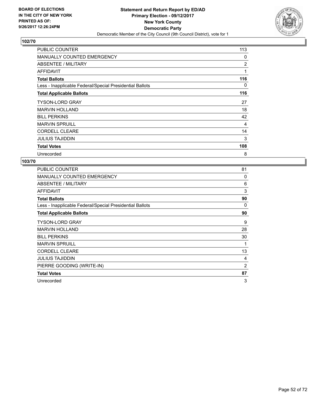

| <b>PUBLIC COUNTER</b>                                    | 113 |
|----------------------------------------------------------|-----|
| <b>MANUALLY COUNTED EMERGENCY</b>                        | 0   |
| ABSENTEE / MILITARY                                      | 2   |
| <b>AFFIDAVIT</b>                                         | 1   |
| <b>Total Ballots</b>                                     | 116 |
| Less - Inapplicable Federal/Special Presidential Ballots | 0   |
| <b>Total Applicable Ballots</b>                          | 116 |
| <b>TYSON-LORD GRAY</b>                                   | 27  |
| <b>MARVIN HOLLAND</b>                                    | 18  |
| <b>BILL PERKINS</b>                                      | 42  |
| <b>MARVIN SPRUILL</b>                                    | 4   |
| <b>CORDELL CLEARE</b>                                    | 14  |
| <b>JULIUS TAJIDDIN</b>                                   | 3   |
| <b>Total Votes</b>                                       | 108 |
| Unrecorded                                               | 8   |

| 81             |
|----------------|
| 0              |
| 6              |
| 3              |
| 90             |
| 0              |
| 90             |
| 9              |
| 28             |
| 30             |
| 1              |
| 13             |
| 4              |
| $\overline{2}$ |
| 87             |
| 3              |
|                |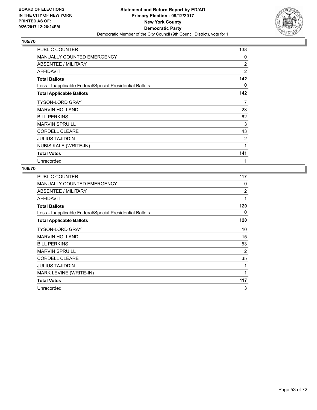

| <b>PUBLIC COUNTER</b>                                    | 138            |
|----------------------------------------------------------|----------------|
| <b>MANUALLY COUNTED EMERGENCY</b>                        | 0              |
| ABSENTEE / MILITARY                                      | $\overline{2}$ |
| AFFIDAVIT                                                | $\overline{2}$ |
| <b>Total Ballots</b>                                     | 142            |
| Less - Inapplicable Federal/Special Presidential Ballots | 0              |
| <b>Total Applicable Ballots</b>                          | 142            |
| <b>TYSON-LORD GRAY</b>                                   | 7              |
| <b>MARVIN HOLLAND</b>                                    | 23             |
| <b>BILL PERKINS</b>                                      | 62             |
| <b>MARVIN SPRUILL</b>                                    | 3              |
| <b>CORDELL CLEARE</b>                                    | 43             |
| <b>JULIUS TAJIDDIN</b>                                   | 2              |
| <b>NUBIS KALE (WRITE-IN)</b>                             | 1              |
| <b>Total Votes</b>                                       | 141            |
| Unrecorded                                               | 1              |

| <b>PUBLIC COUNTER</b>                                    | 117            |
|----------------------------------------------------------|----------------|
| <b>MANUALLY COUNTED EMERGENCY</b>                        | 0              |
| ABSENTEE / MILITARY                                      | $\overline{2}$ |
| <b>AFFIDAVIT</b>                                         | 1              |
| <b>Total Ballots</b>                                     | 120            |
| Less - Inapplicable Federal/Special Presidential Ballots | 0              |
| <b>Total Applicable Ballots</b>                          | 120            |
| <b>TYSON-LORD GRAY</b>                                   | 10             |
| <b>MARVIN HOLLAND</b>                                    | 15             |
| <b>BILL PERKINS</b>                                      | 53             |
| <b>MARVIN SPRUILL</b>                                    | 2              |
| <b>CORDELL CLEARE</b>                                    | 35             |
| <b>JULIUS TAJIDDIN</b>                                   | 1              |
| MARK LEVINE (WRITE-IN)                                   | 1              |
| <b>Total Votes</b>                                       | 117            |
| Unrecorded                                               | 3              |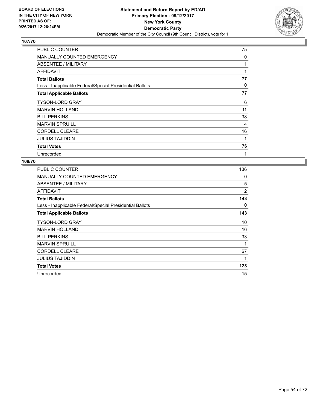

| <b>PUBLIC COUNTER</b>                                    | 75 |
|----------------------------------------------------------|----|
| <b>MANUALLY COUNTED EMERGENCY</b>                        | 0  |
| ABSENTEE / MILITARY                                      | 1  |
| <b>AFFIDAVIT</b>                                         | 1  |
| <b>Total Ballots</b>                                     | 77 |
| Less - Inapplicable Federal/Special Presidential Ballots | 0  |
| <b>Total Applicable Ballots</b>                          | 77 |
| <b>TYSON-LORD GRAY</b>                                   | 6  |
| <b>MARVIN HOLLAND</b>                                    | 11 |
| <b>BILL PERKINS</b>                                      | 38 |
| <b>MARVIN SPRUILL</b>                                    | 4  |
| <b>CORDELL CLEARE</b>                                    | 16 |
| <b>JULIUS TAJIDDIN</b>                                   | 1  |
| <b>Total Votes</b>                                       | 76 |
| Unrecorded                                               | 1  |

| PUBLIC COUNTER                                           | 136 |
|----------------------------------------------------------|-----|
| <b>MANUALLY COUNTED EMERGENCY</b>                        | 0   |
| ABSENTEE / MILITARY                                      | 5   |
| AFFIDAVIT                                                | 2   |
| <b>Total Ballots</b>                                     | 143 |
| Less - Inapplicable Federal/Special Presidential Ballots | 0   |
| <b>Total Applicable Ballots</b>                          | 143 |
| TYSON-LORD GRAY                                          | 10  |
| <b>MARVIN HOLLAND</b>                                    | 16  |
| <b>BILL PERKINS</b>                                      | 33  |
| <b>MARVIN SPRUILL</b>                                    | 1   |
| <b>CORDELL CLEARE</b>                                    | 67  |
| JULIUS TAJIDDIN                                          | 1   |
| <b>Total Votes</b>                                       | 128 |
| Unrecorded                                               | 15  |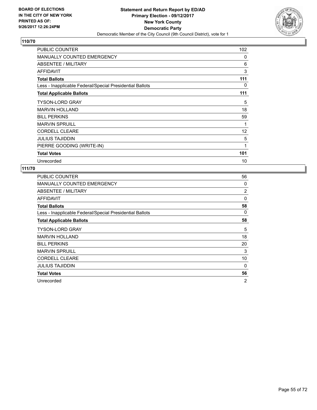

| PUBLIC COUNTER                                           | 102 |
|----------------------------------------------------------|-----|
| <b>MANUALLY COUNTED EMERGENCY</b>                        | 0   |
| ABSENTEE / MILITARY                                      | 6   |
| <b>AFFIDAVIT</b>                                         | 3   |
| <b>Total Ballots</b>                                     | 111 |
| Less - Inapplicable Federal/Special Presidential Ballots | 0   |
| <b>Total Applicable Ballots</b>                          | 111 |
| <b>TYSON-LORD GRAY</b>                                   | 5   |
| <b>MARVIN HOLLAND</b>                                    | 18  |
| <b>BILL PERKINS</b>                                      | 59  |
| <b>MARVIN SPRUILL</b>                                    | 1   |
| <b>CORDELL CLEARE</b>                                    | 12  |
| <b>JULIUS TAJIDDIN</b>                                   | 5   |
| PIERRE GOODING (WRITE-IN)                                | 1   |
| <b>Total Votes</b>                                       | 101 |
| Unrecorded                                               | 10  |

| PUBLIC COUNTER                                           | 56 |
|----------------------------------------------------------|----|
| <b>MANUALLY COUNTED EMERGENCY</b>                        | 0  |
| ABSENTEE / MILITARY                                      | 2  |
| AFFIDAVIT                                                | 0  |
| <b>Total Ballots</b>                                     | 58 |
| Less - Inapplicable Federal/Special Presidential Ballots | 0  |
| <b>Total Applicable Ballots</b>                          | 58 |
| <b>TYSON-LORD GRAY</b>                                   | 5  |
| <b>MARVIN HOLLAND</b>                                    | 18 |
| <b>BILL PERKINS</b>                                      | 20 |
| <b>MARVIN SPRUILL</b>                                    | 3  |
| <b>CORDELL CLEARE</b>                                    | 10 |
| <b>JULIUS TAJIDDIN</b>                                   | 0  |
| <b>Total Votes</b>                                       | 56 |
| Unrecorded                                               | 2  |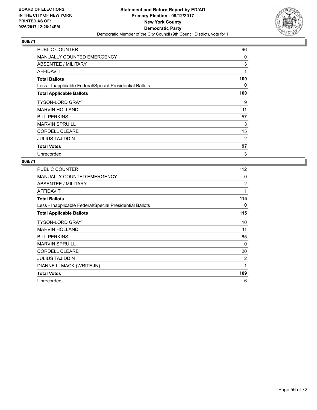

| <b>PUBLIC COUNTER</b>                                    | 96  |
|----------------------------------------------------------|-----|
| <b>MANUALLY COUNTED EMERGENCY</b>                        | 0   |
| ABSENTEE / MILITARY                                      | 3   |
| AFFIDAVIT                                                | 1   |
| <b>Total Ballots</b>                                     | 100 |
| Less - Inapplicable Federal/Special Presidential Ballots | 0   |
| <b>Total Applicable Ballots</b>                          | 100 |
| <b>TYSON-LORD GRAY</b>                                   | 9   |
| <b>MARVIN HOLLAND</b>                                    | 11  |
| <b>BILL PERKINS</b>                                      | 57  |
| <b>MARVIN SPRUILL</b>                                    | 3   |
| <b>CORDELL CLEARE</b>                                    | 15  |
| <b>JULIUS TAJIDDIN</b>                                   | 2   |
| <b>Total Votes</b>                                       | 97  |
| Unrecorded                                               | 3   |

| <b>PUBLIC COUNTER</b>                                    | 112 |
|----------------------------------------------------------|-----|
| <b>MANUALLY COUNTED EMERGENCY</b>                        | 0   |
| ABSENTEE / MILITARY                                      | 2   |
| <b>AFFIDAVIT</b>                                         | 1   |
| <b>Total Ballots</b>                                     | 115 |
| Less - Inapplicable Federal/Special Presidential Ballots | 0   |
| <b>Total Applicable Ballots</b>                          | 115 |
| TYSON-LORD GRAY                                          | 10  |
| <b>MARVIN HOLLAND</b>                                    | 11  |
| <b>BILL PERKINS</b>                                      | 65  |
| <b>MARVIN SPRUILL</b>                                    | 0   |
| <b>CORDELL CLEARE</b>                                    | 20  |
| <b>JULIUS TAJIDDIN</b>                                   | 2   |
| DIANNE L. MACK (WRITE-IN)                                | 1   |
| <b>Total Votes</b>                                       | 109 |
| Unrecorded                                               | 6   |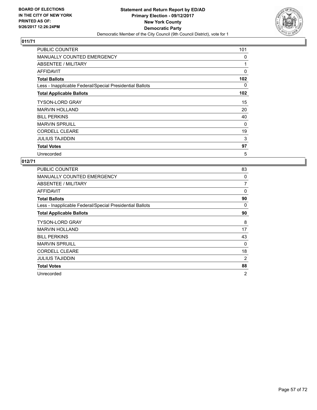

| <b>PUBLIC COUNTER</b>                                    | 101 |
|----------------------------------------------------------|-----|
| <b>MANUALLY COUNTED EMERGENCY</b>                        | 0   |
| ABSENTEE / MILITARY                                      | 1   |
| AFFIDAVIT                                                | 0   |
| <b>Total Ballots</b>                                     | 102 |
| Less - Inapplicable Federal/Special Presidential Ballots | 0   |
| <b>Total Applicable Ballots</b>                          | 102 |
| <b>TYSON-LORD GRAY</b>                                   | 15  |
| <b>MARVIN HOLLAND</b>                                    | 20  |
| <b>BILL PERKINS</b>                                      | 40  |
| <b>MARVIN SPRUILL</b>                                    | 0   |
| <b>CORDELL CLEARE</b>                                    | 19  |
| <b>JULIUS TAJIDDIN</b>                                   | 3   |
| <b>Total Votes</b>                                       | 97  |
| Unrecorded                                               | 5   |

| <b>PUBLIC COUNTER</b>                                    | 83       |
|----------------------------------------------------------|----------|
| <b>MANUALLY COUNTED EMERGENCY</b>                        | 0        |
| ABSENTEE / MILITARY                                      | 7        |
| <b>AFFIDAVIT</b>                                         | $\Omega$ |
| <b>Total Ballots</b>                                     | 90       |
| Less - Inapplicable Federal/Special Presidential Ballots | 0        |
| <b>Total Applicable Ballots</b>                          | 90       |
| <b>TYSON-LORD GRAY</b>                                   | 8        |
| <b>MARVIN HOLLAND</b>                                    | 17       |
| <b>BILL PERKINS</b>                                      | 43       |
| <b>MARVIN SPRUILL</b>                                    | 0        |
| <b>CORDELL CLEARE</b>                                    | 18       |
| JULIUS TAJIDDIN                                          | 2        |
| <b>Total Votes</b>                                       | 88       |
| Unrecorded                                               | 2        |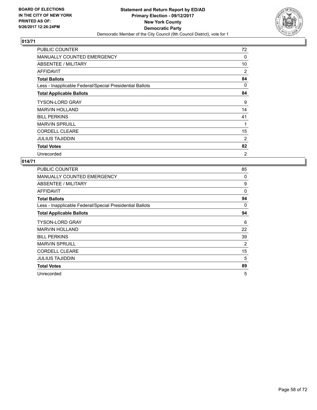

| PUBLIC COUNTER                                           | 72       |
|----------------------------------------------------------|----------|
| MANUALLY COUNTED EMERGENCY                               | $\Omega$ |
| ABSENTEE / MILITARY                                      | 10       |
| <b>AFFIDAVIT</b>                                         | 2        |
| <b>Total Ballots</b>                                     | 84       |
| Less - Inapplicable Federal/Special Presidential Ballots | 0        |
| <b>Total Applicable Ballots</b>                          | 84       |
| <b>TYSON-LORD GRAY</b>                                   | 9        |
| <b>MARVIN HOLLAND</b>                                    | 14       |
| <b>BILL PERKINS</b>                                      | 41       |
| <b>MARVIN SPRUILL</b>                                    | 1        |
| <b>CORDELL CLEARE</b>                                    | 15       |
| <b>JULIUS TAJIDDIN</b>                                   | 2        |
| <b>Total Votes</b>                                       | 82       |
| Unrecorded                                               | 2        |

| PUBLIC COUNTER                                           | 85 |
|----------------------------------------------------------|----|
| <b>MANUALLY COUNTED EMERGENCY</b>                        | 0  |
| ABSENTEE / MILITARY                                      | 9  |
| AFFIDAVIT                                                | 0  |
| <b>Total Ballots</b>                                     | 94 |
| Less - Inapplicable Federal/Special Presidential Ballots | 0  |
| <b>Total Applicable Ballots</b>                          | 94 |
| <b>TYSON-LORD GRAY</b>                                   | 6  |
| <b>MARVIN HOLLAND</b>                                    | 22 |
| <b>BILL PERKINS</b>                                      | 39 |
| <b>MARVIN SPRUILL</b>                                    | 2  |
| <b>CORDELL CLEARE</b>                                    | 15 |
| <b>JULIUS TAJIDDIN</b>                                   | 5  |
| <b>Total Votes</b>                                       | 89 |
| Unrecorded                                               | 5  |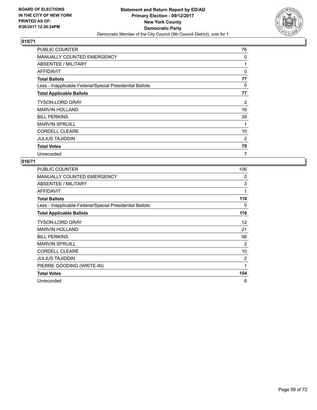

| PUBLIC COUNTER                                           | 76       |
|----------------------------------------------------------|----------|
| <b>MANUALLY COUNTED EMERGENCY</b>                        | 0        |
| ABSENTEE / MILITARY                                      |          |
| AFFIDAVIT                                                | $\Omega$ |
| <b>Total Ballots</b>                                     | 77       |
| Less - Inapplicable Federal/Special Presidential Ballots | 0        |
| <b>Total Applicable Ballots</b>                          | 77       |
| <b>TYSON-LORD GRAY</b>                                   | 2        |
| <b>MARVIN HOLLAND</b>                                    | 16       |
| <b>BILL PERKINS</b>                                      | 39       |
| <b>MARVIN SPRUILL</b>                                    | 1        |
| <b>CORDELL CLEARE</b>                                    | 10       |
| <b>JULIUS TAJIDDIN</b>                                   | 2        |
| <b>Total Votes</b>                                       | 70       |
| Unrecorded                                               | 7        |

| <b>PUBLIC COUNTER</b>                                    | 106 |
|----------------------------------------------------------|-----|
| <b>MANUALLY COUNTED EMERGENCY</b>                        | 0   |
| ABSENTEE / MILITARY                                      | 3   |
| AFFIDAVIT                                                | 1   |
| <b>Total Ballots</b>                                     | 110 |
| Less - Inapplicable Federal/Special Presidential Ballots | 0   |
| <b>Total Applicable Ballots</b>                          | 110 |
| TYSON-LORD GRAY                                          | 12  |
| <b>MARVIN HOLLAND</b>                                    | 21  |
| <b>BILL PERKINS</b>                                      | 56  |
| <b>MARVIN SPRUILL</b>                                    | 2   |
| <b>CORDELL CLEARE</b>                                    | 10  |
| <b>JULIUS TAJIDDIN</b>                                   | 2   |
| PIERRE GOODING (WRITE-IN)                                | 1   |
| <b>Total Votes</b>                                       | 104 |
| Unrecorded                                               | 6   |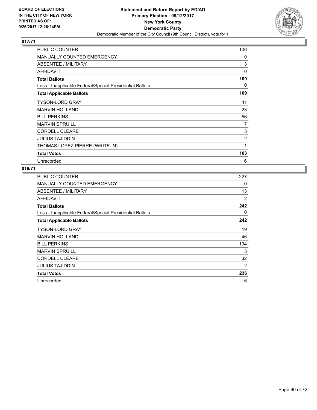

| <b>PUBLIC COUNTER</b>                                    | 106            |
|----------------------------------------------------------|----------------|
| MANUALLY COUNTED EMERGENCY                               | 0              |
| ABSENTEE / MILITARY                                      | 3              |
| AFFIDAVIT                                                | $\Omega$       |
| <b>Total Ballots</b>                                     | 109            |
| Less - Inapplicable Federal/Special Presidential Ballots | 0              |
| <b>Total Applicable Ballots</b>                          | 109            |
| <b>TYSON-LORD GRAY</b>                                   | 11             |
| <b>MARVIN HOLLAND</b>                                    | 23             |
| <b>BILL PERKINS</b>                                      | 56             |
| <b>MARVIN SPRUILL</b>                                    | 7              |
| <b>CORDELL CLEARE</b>                                    | 3              |
| <b>JULIUS TAJIDDIN</b>                                   | $\overline{2}$ |
| THOMAS LOPEZ PIERRE (WRITE-IN)                           | 1              |
| <b>Total Votes</b>                                       | 103            |
| Unrecorded                                               | 6              |

| <b>PUBLIC COUNTER</b>                                    | 227 |
|----------------------------------------------------------|-----|
| <b>MANUALLY COUNTED EMERGENCY</b>                        | 0   |
| ABSENTEE / MILITARY                                      | 13  |
| <b>AFFIDAVIT</b>                                         | 2   |
| <b>Total Ballots</b>                                     | 242 |
| Less - Inapplicable Federal/Special Presidential Ballots | 0   |
| <b>Total Applicable Ballots</b>                          | 242 |
| <b>TYSON-LORD GRAY</b>                                   | 19  |
| <b>MARVIN HOLLAND</b>                                    | 46  |
| <b>BILL PERKINS</b>                                      | 134 |
| <b>MARVIN SPRUILL</b>                                    | 3   |
| <b>CORDELL CLEARE</b>                                    | 32  |
| <b>JULIUS TAJIDDIN</b>                                   | 2   |
| <b>Total Votes</b>                                       | 236 |
| Unrecorded                                               | 6   |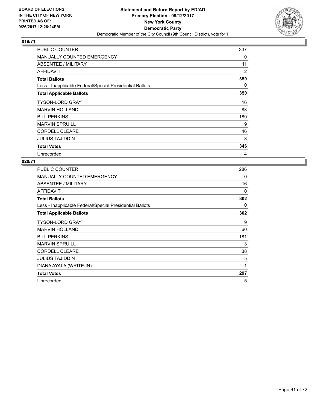

| <b>PUBLIC COUNTER</b>                                    | 337 |
|----------------------------------------------------------|-----|
| <b>MANUALLY COUNTED EMERGENCY</b>                        | 0   |
| ABSENTEE / MILITARY                                      | 11  |
| AFFIDAVIT                                                | 2   |
| <b>Total Ballots</b>                                     | 350 |
| Less - Inapplicable Federal/Special Presidential Ballots | 0   |
| <b>Total Applicable Ballots</b>                          | 350 |
| <b>TYSON-LORD GRAY</b>                                   | 16  |
| <b>MARVIN HOLLAND</b>                                    | 83  |
| <b>BILL PERKINS</b>                                      | 189 |
| <b>MARVIN SPRUILL</b>                                    | 9   |
| <b>CORDELL CLEARE</b>                                    | 46  |
| <b>JULIUS TAJIDDIN</b>                                   | 3   |
| <b>Total Votes</b>                                       | 346 |
| Unrecorded                                               | 4   |

| <b>PUBLIC COUNTER</b>                                    | 286 |
|----------------------------------------------------------|-----|
| <b>MANUALLY COUNTED EMERGENCY</b>                        | 0   |
| ABSENTEE / MILITARY                                      | 16  |
| <b>AFFIDAVIT</b>                                         | 0   |
| <b>Total Ballots</b>                                     | 302 |
| Less - Inapplicable Federal/Special Presidential Ballots | 0   |
| <b>Total Applicable Ballots</b>                          | 302 |
| TYSON-LORD GRAY                                          | 9   |
| <b>MARVIN HOLLAND</b>                                    | 60  |
| <b>BILL PERKINS</b>                                      | 181 |
| <b>MARVIN SPRUILL</b>                                    | 3   |
| <b>CORDELL CLEARE</b>                                    | 38  |
| <b>JULIUS TAJIDDIN</b>                                   | 5   |
| DIANA AYALA (WRITE-IN)                                   | 1   |
| <b>Total Votes</b>                                       | 297 |
| Unrecorded                                               | 5   |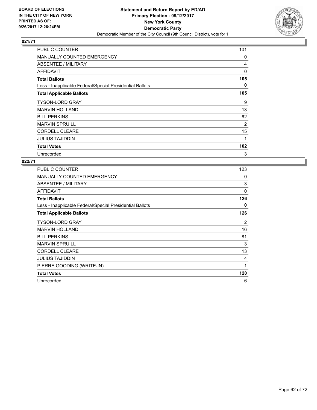

| <b>PUBLIC COUNTER</b>                                    | 101      |
|----------------------------------------------------------|----------|
| <b>MANUALLY COUNTED EMERGENCY</b>                        | 0        |
| ABSENTEE / MILITARY                                      | 4        |
| <b>AFFIDAVIT</b>                                         | $\Omega$ |
| <b>Total Ballots</b>                                     | 105      |
| Less - Inapplicable Federal/Special Presidential Ballots | 0        |
| <b>Total Applicable Ballots</b>                          | 105      |
| <b>TYSON-LORD GRAY</b>                                   | 9        |
| <b>MARVIN HOLLAND</b>                                    | 13       |
| <b>BILL PERKINS</b>                                      | 62       |
| <b>MARVIN SPRUILL</b>                                    | 2        |
| <b>CORDELL CLEARE</b>                                    | 15       |
| <b>JULIUS TAJIDDIN</b>                                   | 1        |
| <b>Total Votes</b>                                       | 102      |
| Unrecorded                                               | 3        |

| <b>PUBLIC COUNTER</b>                                    | 123 |
|----------------------------------------------------------|-----|
| <b>MANUALLY COUNTED EMERGENCY</b>                        | 0   |
| ABSENTEE / MILITARY                                      | 3   |
| <b>AFFIDAVIT</b>                                         | 0   |
| <b>Total Ballots</b>                                     | 126 |
| Less - Inapplicable Federal/Special Presidential Ballots | 0   |
| <b>Total Applicable Ballots</b>                          | 126 |
| <b>TYSON-LORD GRAY</b>                                   | 2   |
| <b>MARVIN HOLLAND</b>                                    | 16  |
| <b>BILL PERKINS</b>                                      | 81  |
| <b>MARVIN SPRUILL</b>                                    | 3   |
| <b>CORDELL CLEARE</b>                                    | 13  |
| <b>JULIUS TAJIDDIN</b>                                   | 4   |
| PIERRE GOODING (WRITE-IN)                                | 1   |
| <b>Total Votes</b>                                       | 120 |
| Unrecorded                                               | 6   |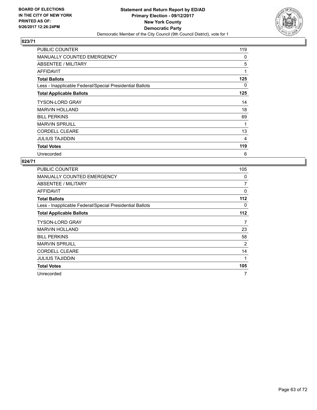

| PUBLIC COUNTER                                           | 119 |
|----------------------------------------------------------|-----|
| <b>MANUALLY COUNTED EMERGENCY</b>                        | 0   |
| ABSENTEE / MILITARY                                      | 5   |
| AFFIDAVIT                                                | 1   |
| <b>Total Ballots</b>                                     | 125 |
| Less - Inapplicable Federal/Special Presidential Ballots | 0   |
| <b>Total Applicable Ballots</b>                          | 125 |
| <b>TYSON-LORD GRAY</b>                                   | 14  |
| <b>MARVIN HOLLAND</b>                                    | 18  |
| <b>BILL PERKINS</b>                                      | 69  |
| <b>MARVIN SPRUILL</b>                                    | 1   |
| <b>CORDELL CLEARE</b>                                    | 13  |
| <b>JULIUS TAJIDDIN</b>                                   | 4   |
| <b>Total Votes</b>                                       | 119 |
| Unrecorded                                               | 6   |

| PUBLIC COUNTER                                           | 105 |
|----------------------------------------------------------|-----|
| <b>MANUALLY COUNTED EMERGENCY</b>                        | 0   |
| <b>ABSENTEE / MILITARY</b>                               | 7   |
| AFFIDAVIT                                                | 0   |
| <b>Total Ballots</b>                                     | 112 |
| Less - Inapplicable Federal/Special Presidential Ballots | 0   |
| <b>Total Applicable Ballots</b>                          | 112 |
| <b>TYSON-LORD GRAY</b>                                   | 7   |
| <b>MARVIN HOLLAND</b>                                    | 23  |
| <b>BILL PERKINS</b>                                      | 58  |
| <b>MARVIN SPRUILL</b>                                    | 2   |
| <b>CORDELL CLEARE</b>                                    | 14  |
| JULIUS TAJIDDIN                                          | 1   |
| <b>Total Votes</b>                                       | 105 |
| Unrecorded                                               | 7   |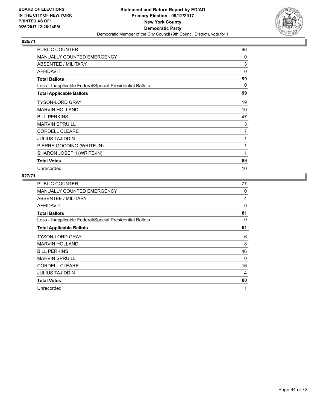

| <b>PUBLIC COUNTER</b>                                    | 96             |
|----------------------------------------------------------|----------------|
| <b>MANUALLY COUNTED EMERGENCY</b>                        | 0              |
| ABSENTEE / MILITARY                                      | 3              |
| <b>AFFIDAVIT</b>                                         | 0              |
| <b>Total Ballots</b>                                     | 99             |
| Less - Inapplicable Federal/Special Presidential Ballots | 0              |
| <b>Total Applicable Ballots</b>                          | 99             |
| <b>TYSON-LORD GRAY</b>                                   | 19             |
| <b>MARVIN HOLLAND</b>                                    | 10             |
| <b>BILL PERKINS</b>                                      | 47             |
| <b>MARVIN SPRUILL</b>                                    | 3              |
| <b>CORDELL CLEARE</b>                                    | $\overline{7}$ |
| <b>JULIUS TAJIDDIN</b>                                   | 1              |
| PIERRE GOODING (WRITE-IN)                                | 1              |
| SHARON JOSEPH (WRITE-IN)                                 | 1              |
| <b>Total Votes</b>                                       | 89             |
| Unrecorded                                               | 10             |

| <b>PUBLIC COUNTER</b>                                    | 77 |
|----------------------------------------------------------|----|
| <b>MANUALLY COUNTED EMERGENCY</b>                        | 0  |
| ABSENTEE / MILITARY                                      | 4  |
| <b>AFFIDAVIT</b>                                         | 0  |
| <b>Total Ballots</b>                                     | 81 |
| Less - Inapplicable Federal/Special Presidential Ballots | 0  |
| <b>Total Applicable Ballots</b>                          | 81 |
| <b>TYSON-LORD GRAY</b>                                   | 6  |
| <b>MARVIN HOLLAND</b>                                    | 8  |
| <b>BILL PERKINS</b>                                      | 46 |
| <b>MARVIN SPRUILL</b>                                    | 0  |
| <b>CORDELL CLEARE</b>                                    | 16 |
| <b>JULIUS TAJIDDIN</b>                                   | 4  |
| <b>Total Votes</b>                                       | 80 |
| Unrecorded                                               | 1  |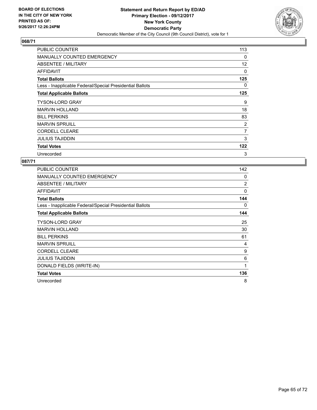

| <b>PUBLIC COUNTER</b>                                    | 113               |
|----------------------------------------------------------|-------------------|
| <b>MANUALLY COUNTED EMERGENCY</b>                        | 0                 |
| ABSENTEE / MILITARY                                      | $12 \overline{ }$ |
| <b>AFFIDAVIT</b>                                         | 0                 |
| <b>Total Ballots</b>                                     | 125               |
| Less - Inapplicable Federal/Special Presidential Ballots | 0                 |
| <b>Total Applicable Ballots</b>                          | 125               |
| <b>TYSON-LORD GRAY</b>                                   | 9                 |
| <b>MARVIN HOLLAND</b>                                    | 18                |
| <b>BILL PERKINS</b>                                      | 83                |
| <b>MARVIN SPRUILL</b>                                    | 2                 |
| <b>CORDELL CLEARE</b>                                    | $\overline{7}$    |
| <b>JULIUS TAJIDDIN</b>                                   | 3                 |
| <b>Total Votes</b>                                       | 122               |
| Unrecorded                                               | 3                 |

| <b>PUBLIC COUNTER</b>                                    | 142 |
|----------------------------------------------------------|-----|
| <b>MANUALLY COUNTED EMERGENCY</b>                        | 0   |
| ABSENTEE / MILITARY                                      | 2   |
| AFFIDAVIT                                                | 0   |
| <b>Total Ballots</b>                                     | 144 |
| Less - Inapplicable Federal/Special Presidential Ballots | 0   |
| <b>Total Applicable Ballots</b>                          | 144 |
| TYSON-LORD GRAY                                          | 25  |
| MARVIN HOLLAND                                           | 30  |
| <b>BILL PERKINS</b>                                      | 61  |
| <b>MARVIN SPRUILL</b>                                    | 4   |
| <b>CORDELL CLEARE</b>                                    | 9   |
| <b>JULIUS TAJIDDIN</b>                                   | 6   |
| DONALD FIELDS (WRITE-IN)                                 | 1   |
| <b>Total Votes</b>                                       | 136 |
| Unrecorded                                               | 8   |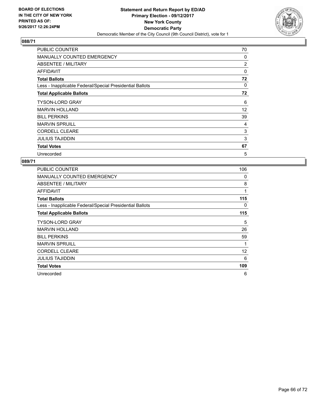

| <b>PUBLIC COUNTER</b>                                    | 70       |
|----------------------------------------------------------|----------|
| <b>MANUALLY COUNTED EMERGENCY</b>                        | 0        |
| ABSENTEE / MILITARY                                      | 2        |
| AFFIDAVIT                                                | 0        |
| <b>Total Ballots</b>                                     | 72       |
| Less - Inapplicable Federal/Special Presidential Ballots | $\Omega$ |
| <b>Total Applicable Ballots</b>                          | 72       |
| <b>TYSON-LORD GRAY</b>                                   | 6        |
| <b>MARVIN HOLLAND</b>                                    | 12       |
| <b>BILL PERKINS</b>                                      | 39       |
| <b>MARVIN SPRUILL</b>                                    | 4        |
| <b>CORDELL CLEARE</b>                                    | 3        |
| <b>JULIUS TAJIDDIN</b>                                   | 3        |
| <b>Total Votes</b>                                       | 67       |
| Unrecorded                                               | 5        |

| PUBLIC COUNTER                                           | 106 |
|----------------------------------------------------------|-----|
| <b>MANUALLY COUNTED EMERGENCY</b>                        | 0   |
| <b>ABSENTEE / MILITARY</b>                               | 8   |
| AFFIDAVIT                                                | 1   |
| <b>Total Ballots</b>                                     | 115 |
| Less - Inapplicable Federal/Special Presidential Ballots | 0   |
| <b>Total Applicable Ballots</b>                          | 115 |
| <b>TYSON-LORD GRAY</b>                                   | 5   |
| <b>MARVIN HOLLAND</b>                                    | 26  |
| <b>BILL PERKINS</b>                                      | 59  |
| <b>MARVIN SPRUILL</b>                                    | 1   |
| <b>CORDELL CLEARE</b>                                    | 12  |
| JULIUS TAJIDDIN                                          | 6   |
| <b>Total Votes</b>                                       | 109 |
| Unrecorded                                               | 6   |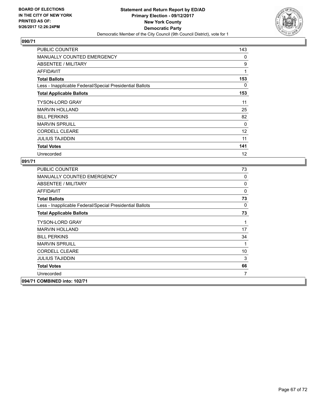

| <b>PUBLIC COUNTER</b>                                    | 143      |
|----------------------------------------------------------|----------|
| MANUALLY COUNTED EMERGENCY                               | 0        |
| ABSENTEE / MILITARY                                      | 9        |
| <b>AFFIDAVIT</b>                                         | 1        |
| <b>Total Ballots</b>                                     | 153      |
| Less - Inapplicable Federal/Special Presidential Ballots | 0        |
| <b>Total Applicable Ballots</b>                          | 153      |
| <b>TYSON-LORD GRAY</b>                                   | 11       |
| <b>MARVIN HOLLAND</b>                                    | 25       |
| <b>BILL PERKINS</b>                                      | 82       |
| <b>MARVIN SPRUILL</b>                                    | $\Omega$ |
| <b>CORDELL CLEARE</b>                                    | 12       |
| <b>JULIUS TAJIDDIN</b>                                   | 11       |
| <b>Total Votes</b>                                       | 141      |
| Unrecorded                                               | 12       |

| PUBLIC COUNTER                                           | 73           |
|----------------------------------------------------------|--------------|
| <b>MANUALLY COUNTED EMERGENCY</b>                        | 0            |
| ABSENTEE / MILITARY                                      | 0            |
| AFFIDAVIT                                                | 0            |
| <b>Total Ballots</b>                                     | 73           |
| Less - Inapplicable Federal/Special Presidential Ballots | $\mathbf{0}$ |
| <b>Total Applicable Ballots</b>                          | 73           |
| <b>TYSON-LORD GRAY</b>                                   | 1            |
| <b>MARVIN HOLLAND</b>                                    | 17           |
| <b>BILL PERKINS</b>                                      | 34           |
| <b>MARVIN SPRUILL</b>                                    | 1            |
| <b>CORDELL CLEARE</b>                                    | 10           |
| <b>JULIUS TAJIDDIN</b>                                   | 3            |
| <b>Total Votes</b>                                       | 66           |
| Unrecorded                                               | 7            |
| 094/71 COMBINED into: 102/71                             |              |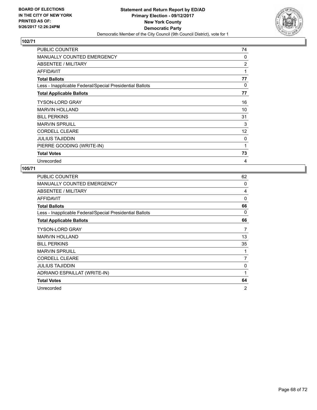

| PUBLIC COUNTER                                           | 74             |
|----------------------------------------------------------|----------------|
| <b>MANUALLY COUNTED EMERGENCY</b>                        | 0              |
| ABSENTEE / MILITARY                                      | $\overline{2}$ |
| AFFIDAVIT                                                | 1              |
| <b>Total Ballots</b>                                     | 77             |
| Less - Inapplicable Federal/Special Presidential Ballots | 0              |
| <b>Total Applicable Ballots</b>                          | 77             |
| <b>TYSON-LORD GRAY</b>                                   | 16             |
| <b>MARVIN HOLLAND</b>                                    | 10             |
| <b>BILL PERKINS</b>                                      | 31             |
| <b>MARVIN SPRUILL</b>                                    | 3              |
| <b>CORDELL CLEARE</b>                                    | 12             |
| <b>JULIUS TAJIDDIN</b>                                   | 0              |
| PIERRE GOODING (WRITE-IN)                                | 1              |
| <b>Total Votes</b>                                       | 73             |
| Unrecorded                                               | 4              |

| <b>PUBLIC COUNTER</b>                                    | 62             |
|----------------------------------------------------------|----------------|
| <b>MANUALLY COUNTED EMERGENCY</b>                        | 0              |
| ABSENTEE / MILITARY                                      | 4              |
| <b>AFFIDAVIT</b>                                         | $\Omega$       |
| <b>Total Ballots</b>                                     | 66             |
| Less - Inapplicable Federal/Special Presidential Ballots | 0              |
| <b>Total Applicable Ballots</b>                          | 66             |
| <b>TYSON-LORD GRAY</b>                                   | 7              |
| <b>MARVIN HOLLAND</b>                                    | 13             |
| <b>BILL PERKINS</b>                                      | 35             |
| <b>MARVIN SPRUILL</b>                                    | 1              |
| <b>CORDELL CLEARE</b>                                    | 7              |
| <b>JULIUS TAJIDDIN</b>                                   | 0              |
| ADRIANO ESPAILLAT (WRITE-IN)                             | 1              |
| <b>Total Votes</b>                                       | 64             |
| Unrecorded                                               | $\overline{2}$ |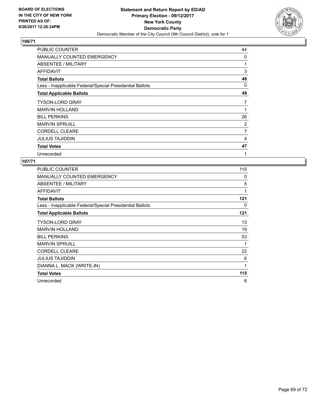

| <b>PUBLIC COUNTER</b>                                    | 44 |
|----------------------------------------------------------|----|
| <b>MANUALLY COUNTED EMERGENCY</b>                        | 0  |
| <b>ABSENTEE / MILITARY</b>                               | 1  |
| AFFIDAVIT                                                | 3  |
| <b>Total Ballots</b>                                     | 48 |
| Less - Inapplicable Federal/Special Presidential Ballots | 0  |
| <b>Total Applicable Ballots</b>                          | 48 |
| <b>TYSON-LORD GRAY</b>                                   | 7  |
| <b>MARVIN HOLLAND</b>                                    | 1  |
| <b>BILL PERKINS</b>                                      | 26 |
| <b>MARVIN SPRUILL</b>                                    | 2  |
| <b>CORDELL CLEARE</b>                                    | 7  |
| <b>JULIUS TAJIDDIN</b>                                   | 4  |
| <b>Total Votes</b>                                       | 47 |
| Unrecorded                                               | 1  |

| <b>PUBLIC COUNTER</b>                                    | 115 |
|----------------------------------------------------------|-----|
| <b>MANUALLY COUNTED EMERGENCY</b>                        | 0   |
| ABSENTEE / MILITARY                                      | 5   |
| <b>AFFIDAVIT</b>                                         | 1   |
| <b>Total Ballots</b>                                     | 121 |
| Less - Inapplicable Federal/Special Presidential Ballots | 0   |
| <b>Total Applicable Ballots</b>                          | 121 |
| TYSON-LORD GRAY                                          | 13  |
| <b>MARVIN HOLLAND</b>                                    | 19  |
| <b>BILL PERKINS</b>                                      | 53  |
| <b>MARVIN SPRUILL</b>                                    | 1   |
| <b>CORDELL CLEARE</b>                                    | 22  |
| <b>JULIUS TAJIDDIN</b>                                   | 6   |
| DIANNA L. MACK (WRITE-IN)                                | 1   |
| <b>Total Votes</b>                                       | 115 |
| Unrecorded                                               | 6   |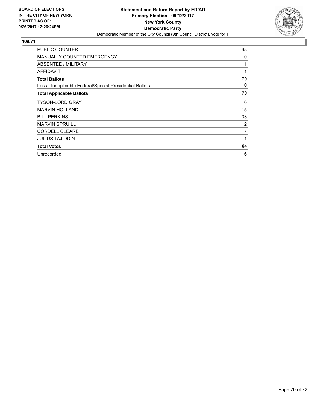

| PUBLIC COUNTER                                           | 68             |
|----------------------------------------------------------|----------------|
| <b>MANUALLY COUNTED EMERGENCY</b>                        | 0              |
| <b>ABSENTEE / MILITARY</b>                               | 1              |
| <b>AFFIDAVIT</b>                                         | 1              |
| <b>Total Ballots</b>                                     | 70             |
| Less - Inapplicable Federal/Special Presidential Ballots | 0              |
| <b>Total Applicable Ballots</b>                          | 70             |
| TYSON-LORD GRAY                                          | 6              |
| <b>MARVIN HOLLAND</b>                                    | 15             |
| <b>BILL PERKINS</b>                                      | 33             |
| <b>MARVIN SPRUILL</b>                                    | 2              |
| <b>CORDELL CLEARE</b>                                    | $\overline{7}$ |
| <b>JULIUS TAJIDDIN</b>                                   | 1              |
| <b>Total Votes</b>                                       | 64             |
| Unrecorded                                               | 6              |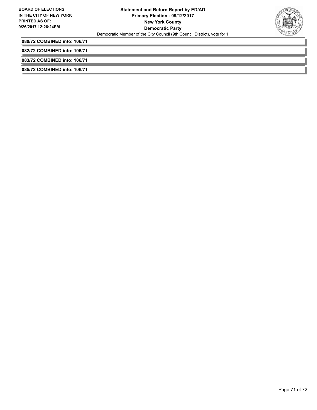

**080/72 COMBINED into: 106/71**

**082/72 COMBINED into: 106/71**

**083/72 COMBINED into: 106/71**

**085/72 COMBINED into: 106/71**